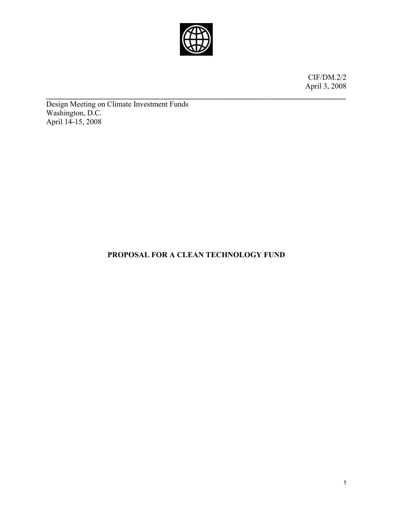

 $\mathcal{L}_\text{max} = \mathcal{L}_\text{max} = \mathcal{L}_\text{max} = \mathcal{L}_\text{max} = \mathcal{L}_\text{max} = \mathcal{L}_\text{max} = \mathcal{L}_\text{max} = \mathcal{L}_\text{max} = \mathcal{L}_\text{max} = \mathcal{L}_\text{max} = \mathcal{L}_\text{max} = \mathcal{L}_\text{max} = \mathcal{L}_\text{max} = \mathcal{L}_\text{max} = \mathcal{L}_\text{max} = \mathcal{L}_\text{max} = \mathcal{L}_\text{max} = \mathcal{L}_\text{max} = \mathcal{$ 

CIF/DM.2/2 April 3, 2008

Design Meeting on Climate Investment Funds Washington, D.C. April 14-15, 2008

# **PROPOSAL FOR A CLEAN TECHNOLOGY FUND**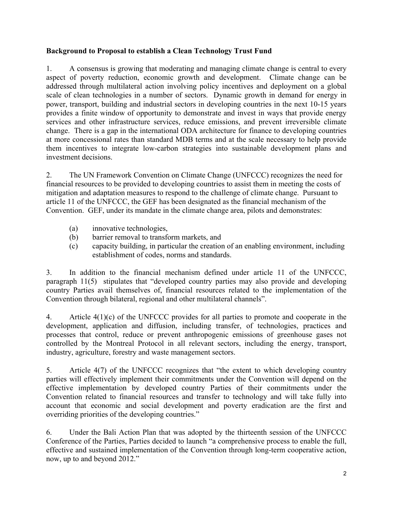# **Background to Proposal to establish a Clean Technology Trust Fund**

1. A consensus is growing that moderating and managing climate change is central to every aspect of poverty reduction, economic growth and development. Climate change can be addressed through multilateral action involving policy incentives and deployment on a global scale of clean technologies in a number of sectors. Dynamic growth in demand for energy in power, transport, building and industrial sectors in developing countries in the next 10-15 years provides a finite window of opportunity to demonstrate and invest in ways that provide energy services and other infrastructure services, reduce emissions, and prevent irreversible climate change. There is a gap in the international ODA architecture for finance to developing countries at more concessional rates than standard MDB terms and at the scale necessary to help provide them incentives to integrate low-carbon strategies into sustainable development plans and investment decisions.

2. The UN Framework Convention on Climate Change (UNFCCC) recognizes the need for financial resources to be provided to developing countries to assist them in meeting the costs of mitigation and adaptation measures to respond to the challenge of climate change. Pursuant to article 11 of the UNFCCC, the GEF has been designated as the financial mechanism of the Convention. GEF, under its mandate in the climate change area, pilots and demonstrates:

- (a) innovative technologies,
- (b) barrier removal to transform markets, and
- (c) capacity building, in particular the creation of an enabling environment, including establishment of codes, norms and standards.

3. In addition to the financial mechanism defined under article 11 of the UNFCCC, paragraph 11(5) stipulates that "developed country parties may also provide and developing country Parties avail themselves of, financial resources related to the implementation of the Convention through bilateral, regional and other multilateral channels".

4. Article 4(1)(c) of the UNFCCC provides for all parties to promote and cooperate in the development, application and diffusion, including transfer, of technologies, practices and processes that control, reduce or prevent anthropogenic emissions of greenhouse gases not controlled by the Montreal Protocol in all relevant sectors, including the energy, transport, industry, agriculture, forestry and waste management sectors.

5. Article 4(7) of the UNFCCC recognizes that "the extent to which developing country parties will effectively implement their commitments under the Convention will depend on the effective implementation by developed country Parties of their commitments under the Convention related to financial resources and transfer to technology and will take fully into account that economic and social development and poverty eradication are the first and overriding priorities of the developing countries."

6. Under the Bali Action Plan that was adopted by the thirteenth session of the UNFCCC Conference of the Parties, Parties decided to launch "a comprehensive process to enable the full, effective and sustained implementation of the Convention through long-term cooperative action, now, up to and beyond 2012."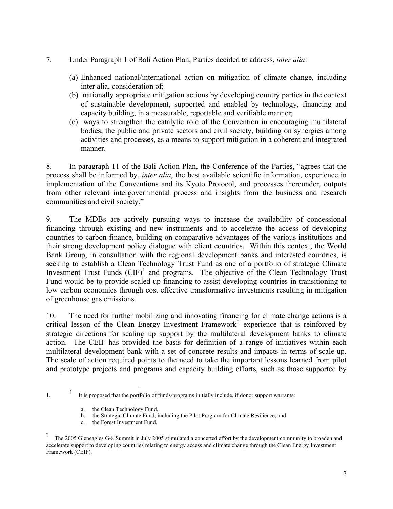- 7. Under Paragraph 1 of Bali Action Plan, Parties decided to address, *inter alia*:
	- (a) Enhanced national/international action on mitigation of climate change, including inter alia, consideration of;
	- (b) nationally appropriate mitigation actions by developing country parties in the context of sustainable development, supported and enabled by technology, financing and capacity building, in a measurable, reportable and verifiable manner;
	- (c) ways to strengthen the catalytic role of the Convention in encouraging multilateral bodies, the public and private sectors and civil society, building on synergies among activities and processes, as a means to support mitigation in a coherent and integrated manner.

8. In paragraph 11 of the Bali Action Plan, the Conference of the Parties, "agrees that the process shall be informed by, *inter alia*, the best available scientific information, experience in implementation of the Conventions and its Kyoto Protocol, and processes thereunder, outputs from other relevant intergovernmental process and insights from the business and research communities and civil society."

9. The MDBs are actively pursuing ways to increase the availability of concessional financing through existing and new instruments and to accelerate the access of developing countries to carbon finance, building on comparative advantages of the various institutions and their strong development policy dialogue with client countries. Within this context, the World Bank Group, in consultation with the regional development banks and interested countries, is seeking to establish a Clean Technology Trust Fund as one of a portfolio of strategic Climate Investment Trust Funds  $(CIF)^1$  $(CIF)^1$  and programs. The objective of the Clean Technology Trust Fund would be to provide scaled-up financing to assist developing countries in transitioning to low carbon economies through cost effective transformative investments resulting in mitigation of greenhouse gas emissions.

10. The need for further mobilizing and innovating financing for climate change actions is a critical lesson of the Clean Energy Investment Framework<sup>[2](#page-2-1)</sup> experience that is reinforced by strategic directions for scaling–up support by the multilateral development banks to climate action. The CEIF has provided the basis for definition of a range of initiatives within each multilateral development bank with a set of concrete results and impacts in terms of scale-up. The scale of action required points to the need to take the important lessons learned from pilot and prototype projects and programs and capacity building efforts, such as those supported by

<span id="page-2-0"></span>1. <sup>1</sup> It is proposed that the portfolio of funds/programs initially include, if donor support warrants:

 $\overline{a}$ 

c. the Forest Investment Fund.

a. the Clean Technology Fund,

b. the Strategic Climate Fund, including the Pilot Program for Climate Resilience, and

<span id="page-2-1"></span><sup>2</sup> The 2005 Gleneagles G-8 Summit in July 2005 stimulated a concerted effort by the development community to broaden and accelerate support to developing countries relating to energy access and climate change through the Clean Energy Investment Framework (CEIF).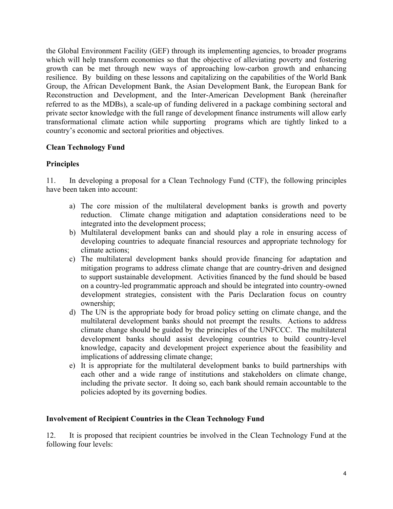the Global Environment Facility (GEF) through its implementing agencies, to broader programs which will help transform economies so that the objective of alleviating poverty and fostering growth can be met through new ways of approaching low-carbon growth and enhancing resilience. By building on these lessons and capitalizing on the capabilities of the World Bank Group, the African Development Bank, the Asian Development Bank, the European Bank for Reconstruction and Development, and the Inter-American Development Bank (hereinafter referred to as the MDBs), a scale-up of funding delivered in a package combining sectoral and private sector knowledge with the full range of development finance instruments will allow early transformational climate action while supporting programs which are tightly linked to a country's economic and sectoral priorities and objectives.

# **Clean Technology Fund**

# **Principles**

11. In developing a proposal for a Clean Technology Fund (CTF), the following principles have been taken into account:

- a) The core mission of the multilateral development banks is growth and poverty reduction. Climate change mitigation and adaptation considerations need to be integrated into the development process;
- b) Multilateral development banks can and should play a role in ensuring access of developing countries to adequate financial resources and appropriate technology for climate actions;
- c) The multilateral development banks should provide financing for adaptation and mitigation programs to address climate change that are country-driven and designed to support sustainable development. Activities financed by the fund should be based on a country-led programmatic approach and should be integrated into country-owned development strategies, consistent with the Paris Declaration focus on country ownership;
- d) The UN is the appropriate body for broad policy setting on climate change, and the multilateral development banks should not preempt the results. Actions to address climate change should be guided by the principles of the UNFCCC. The multilateral development banks should assist developing countries to build country-level knowledge, capacity and development project experience about the feasibility and implications of addressing climate change;
- e) It is appropriate for the multilateral development banks to build partnerships with each other and a wide range of institutions and stakeholders on climate change, including the private sector. It doing so, each bank should remain accountable to the policies adopted by its governing bodies.

# **Involvement of Recipient Countries in the Clean Technology Fund**

12. It is proposed that recipient countries be involved in the Clean Technology Fund at the following four levels: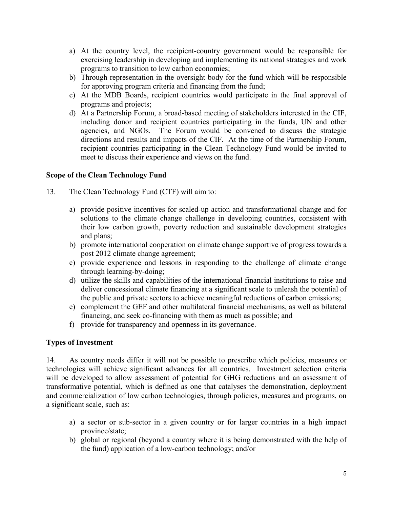- a) At the country level, the recipient-country government would be responsible for exercising leadership in developing and implementing its national strategies and work programs to transition to low carbon economies;
- b) Through representation in the oversight body for the fund which will be responsible for approving program criteria and financing from the fund;
- c) At the MDB Boards, recipient countries would participate in the final approval of programs and projects;
- d) At a Partnership Forum, a broad-based meeting of stakeholders interested in the CIF, including donor and recipient countries participating in the funds, UN and other agencies, and NGOs. The Forum would be convened to discuss the strategic directions and results and impacts of the CIF. At the time of the Partnership Forum, recipient countries participating in the Clean Technology Fund would be invited to meet to discuss their experience and views on the fund.

# **Scope of the Clean Technology Fund**

- 13. The Clean Technology Fund (CTF) will aim to:
	- a) provide positive incentives for scaled-up action and transformational change and for solutions to the climate change challenge in developing countries, consistent with their low carbon growth, poverty reduction and sustainable development strategies and plans;
	- b) promote international cooperation on climate change supportive of progress towards a post 2012 climate change agreement;
	- c) provide experience and lessons in responding to the challenge of climate change through learning-by-doing;
	- d) utilize the skills and capabilities of the international financial institutions to raise and deliver concessional climate financing at a significant scale to unleash the potential of the public and private sectors to achieve meaningful reductions of carbon emissions;
	- e) complement the GEF and other multilateral financial mechanisms, as well as bilateral financing, and seek co-financing with them as much as possible; and
	- f) provide for transparency and openness in its governance.

# **Types of Investment**

14. As country needs differ it will not be possible to prescribe which policies, measures or technologies will achieve significant advances for all countries. Investment selection criteria will be developed to allow assessment of potential for GHG reductions and an assessment of transformative potential, which is defined as one that catalyses the demonstration, deployment and commercialization of low carbon technologies, through policies, measures and programs, on a significant scale, such as:

- a) a sector or sub-sector in a given country or for larger countries in a high impact province/state;
- b) global or regional (beyond a country where it is being demonstrated with the help of the fund) application of a low-carbon technology; and/or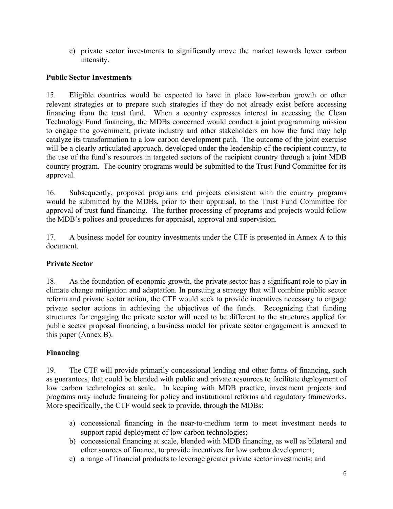c) private sector investments to significantly move the market towards lower carbon intensity.

# **Public Sector Investments**

15. Eligible countries would be expected to have in place low-carbon growth or other relevant strategies or to prepare such strategies if they do not already exist before accessing financing from the trust fund. When a country expresses interest in accessing the Clean Technology Fund financing, the MDBs concerned would conduct a joint programming mission to engage the government, private industry and other stakeholders on how the fund may help catalyze its transformation to a low carbon development path. The outcome of the joint exercise will be a clearly articulated approach, developed under the leadership of the recipient country, to the use of the fund's resources in targeted sectors of the recipient country through a joint MDB country program. The country programs would be submitted to the Trust Fund Committee for its approval.

16. Subsequently, proposed programs and projects consistent with the country programs would be submitted by the MDBs, prior to their appraisal, to the Trust Fund Committee for approval of trust fund financing. The further processing of programs and projects would follow the MDB's polices and procedures for appraisal, approval and supervision.

17. A business model for country investments under the CTF is presented in Annex A to this document.

# **Private Sector**

18. As the foundation of economic growth, the private sector has a significant role to play in climate change mitigation and adaptation. In pursuing a strategy that will combine public sector reform and private sector action, the CTF would seek to provide incentives necessary to engage private sector actions in achieving the objectives of the funds. Recognizing that funding structures for engaging the private sector will need to be different to the structures applied for public sector proposal financing, a business model for private sector engagement is annexed to this paper (Annex B).

# **Financing**

19. The CTF will provide primarily concessional lending and other forms of financing, such as guarantees, that could be blended with public and private resources to facilitate deployment of low carbon technologies at scale. In keeping with MDB practice, investment projects and programs may include financing for policy and institutional reforms and regulatory frameworks. More specifically, the CTF would seek to provide, through the MDBs:

- a) concessional financing in the near-to-medium term to meet investment needs to support rapid deployment of low carbon technologies;
- b) concessional financing at scale, blended with MDB financing, as well as bilateral and other sources of finance, to provide incentives for low carbon development;
- c) a range of financial products to leverage greater private sector investments; and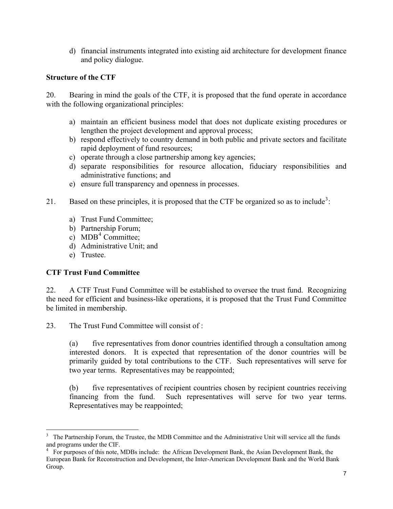d) financial instruments integrated into existing aid architecture for development finance and policy dialogue.

# **Structure of the CTF**

20. Bearing in mind the goals of the CTF, it is proposed that the fund operate in accordance with the following organizational principles:

- a) maintain an efficient business model that does not duplicate existing procedures or lengthen the project development and approval process;
- b) respond effectively to country demand in both public and private sectors and facilitate rapid deployment of fund resources;
- c) operate through a close partnership among key agencies;
- d) separate responsibilities for resource allocation, fiduciary responsibilities and administrative functions; and
- e) ensure full transparency and openness in processes.
- 21. Based on these principles, it is proposed that the CTF be organized so as to include<sup>[3](#page-6-0)</sup>:
	- a) Trust Fund Committee;
	- b) Partnership Forum;
	- $c)$  MDB<sup>[4](#page-6-1)</sup> Committee;
	- d) Administrative Unit; and
	- e) Trustee.

 $\overline{a}$ 

# **CTF Trust Fund Committee**

22. A CTF Trust Fund Committee will be established to oversee the trust fund. Recognizing the need for efficient and business-like operations, it is proposed that the Trust Fund Committee be limited in membership.

23. The Trust Fund Committee will consist of :

(a) five representatives from donor countries identified through a consultation among interested donors. It is expected that representation of the donor countries will be primarily guided by total contributions to the CTF. Such representatives will serve for two year terms. Representatives may be reappointed;

(b) five representatives of recipient countries chosen by recipient countries receiving financing from the fund. Such representatives will serve for two year terms. Representatives may be reappointed;

<span id="page-6-0"></span><sup>&</sup>lt;sup>3</sup> The Partnership Forum, the Trustee, the MDB Committee and the Administrative Unit will service all the funds

<span id="page-6-1"></span>and programs under the CIF.<br><sup>4</sup> For purposes of this note, MDBs include: the African Development Bank, the Asian Development Bank, the European Bank for Reconstruction and Development, the Inter-American Development Bank and the World Bank Group.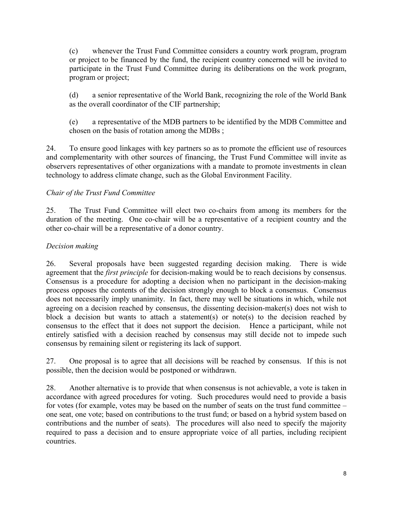(c) whenever the Trust Fund Committee considers a country work program, program or project to be financed by the fund, the recipient country concerned will be invited to participate in the Trust Fund Committee during its deliberations on the work program, program or project;

(d) a senior representative of the World Bank, recognizing the role of the World Bank as the overall coordinator of the CIF partnership;

(e) a representative of the MDB partners to be identified by the MDB Committee and chosen on the basis of rotation among the MDBs ;

24. To ensure good linkages with key partners so as to promote the efficient use of resources and complementarity with other sources of financing, the Trust Fund Committee will invite as observers representatives of other organizations with a mandate to promote investments in clean technology to address climate change, such as the Global Environment Facility.

# *Chair of the Trust Fund Committee*

25. The Trust Fund Committee will elect two co-chairs from among its members for the duration of the meeting. One co-chair will be a representative of a recipient country and the other co-chair will be a representative of a donor country.

# *Decision making*

26. Several proposals have been suggested regarding decision making. There is wide agreement that the *first principle* for decision-making would be to reach decisions by consensus. Consensus is a procedure for adopting a decision when no participant in the decision-making process opposes the contents of the decision strongly enough to block a consensus. Consensus does not necessarily imply unanimity. In fact, there may well be situations in which, while not agreeing on a decision reached by consensus, the dissenting decision-maker(s) does not wish to block a decision but wants to attach a statement(s) or note(s) to the decision reached by consensus to the effect that it does not support the decision. Hence a participant, while not entirely satisfied with a decision reached by consensus may still decide not to impede such consensus by remaining silent or registering its lack of support.

27. One proposal is to agree that all decisions will be reached by consensus. If this is not possible, then the decision would be postponed or withdrawn.

28. Another alternative is to provide that when consensus is not achievable, a vote is taken in accordance with agreed procedures for voting. Such procedures would need to provide a basis for votes (for example, votes may be based on the number of seats on the trust fund committee – one seat, one vote; based on contributions to the trust fund; or based on a hybrid system based on contributions and the number of seats). The procedures will also need to specify the majority required to pass a decision and to ensure appropriate voice of all parties, including recipient countries.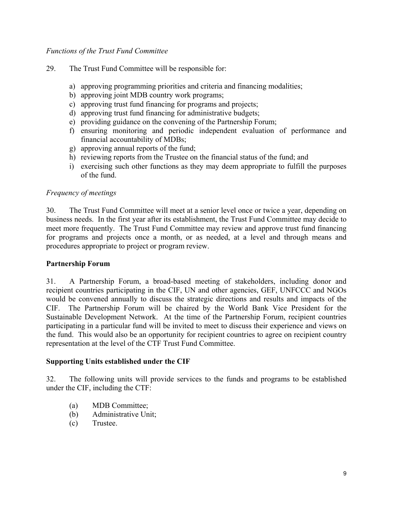## *Functions of the Trust Fund Committee*

- 29. The Trust Fund Committee will be responsible for:
	- a) approving programming priorities and criteria and financing modalities;
	- b) approving joint MDB country work programs;
	- c) approving trust fund financing for programs and projects;
	- d) approving trust fund financing for administrative budgets;
	- e) providing guidance on the convening of the Partnership Forum;
	- f) ensuring monitoring and periodic independent evaluation of performance and financial accountability of MDBs;
	- g) approving annual reports of the fund;
	- h) reviewing reports from the Trustee on the financial status of the fund; and
	- i) exercising such other functions as they may deem appropriate to fulfill the purposes of the fund.

#### *Frequency of meetings*

30. The Trust Fund Committee will meet at a senior level once or twice a year, depending on business needs. In the first year after its establishment, the Trust Fund Committee may decide to meet more frequently. The Trust Fund Committee may review and approve trust fund financing for programs and projects once a month, or as needed, at a level and through means and procedures appropriate to project or program review.

#### **Partnership Forum**

31. A Partnership Forum, a broad-based meeting of stakeholders, including donor and recipient countries participating in the CIF, UN and other agencies, GEF, UNFCCC and NGOs would be convened annually to discuss the strategic directions and results and impacts of the CIF. The Partnership Forum will be chaired by the World Bank Vice President for the Sustainable Development Network. At the time of the Partnership Forum, recipient countries participating in a particular fund will be invited to meet to discuss their experience and views on the fund. This would also be an opportunity for recipient countries to agree on recipient country representation at the level of the CTF Trust Fund Committee.

#### **Supporting Units established under the CIF**

32. The following units will provide services to the funds and programs to be established under the CIF, including the CTF:

- (a) MDB Committee;
- (b) Administrative Unit;
- (c) Trustee.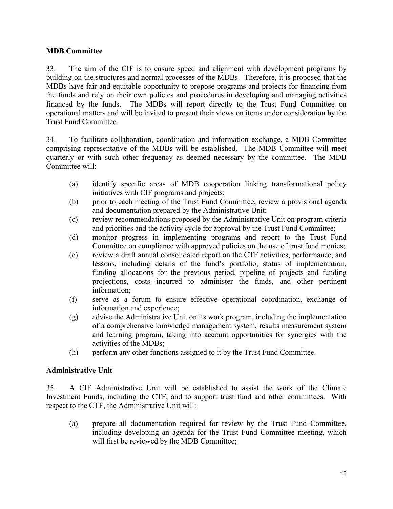# **MDB Committee**

33. The aim of the CIF is to ensure speed and alignment with development programs by building on the structures and normal processes of the MDBs. Therefore, it is proposed that the MDBs have fair and equitable opportunity to propose programs and projects for financing from the funds and rely on their own policies and procedures in developing and managing activities financed by the funds. The MDBs will report directly to the Trust Fund Committee on operational matters and will be invited to present their views on items under consideration by the Trust Fund Committee.

34. To facilitate collaboration, coordination and information exchange, a MDB Committee comprising representative of the MDBs will be established. The MDB Committee will meet quarterly or with such other frequency as deemed necessary by the committee. The MDB Committee will:

- (a) identify specific areas of MDB cooperation linking transformational policy initiatives with CIF programs and projects;
- (b) prior to each meeting of the Trust Fund Committee, review a provisional agenda and documentation prepared by the Administrative Unit;
- (c) review recommendations proposed by the Administrative Unit on program criteria and priorities and the activity cycle for approval by the Trust Fund Committee;
- (d) monitor progress in implementing programs and report to the Trust Fund Committee on compliance with approved policies on the use of trust fund monies;
- (e) review a draft annual consolidated report on the CTF activities, performance, and lessons, including details of the fund's portfolio, status of implementation, funding allocations for the previous period, pipeline of projects and funding projections, costs incurred to administer the funds, and other pertinent information;
- (f) serve as a forum to ensure effective operational coordination, exchange of information and experience;
- (g) advise the Administrative Unit on its work program, including the implementation of a comprehensive knowledge management system, results measurement system and learning program, taking into account opportunities for synergies with the activities of the MDBs;
- (h) perform any other functions assigned to it by the Trust Fund Committee.

# **Administrative Unit**

35. A CIF Administrative Unit will be established to assist the work of the Climate Investment Funds, including the CTF, and to support trust fund and other committees. With respect to the CTF, the Administrative Unit will:

(a) prepare all documentation required for review by the Trust Fund Committee, including developing an agenda for the Trust Fund Committee meeting, which will first be reviewed by the MDB Committee;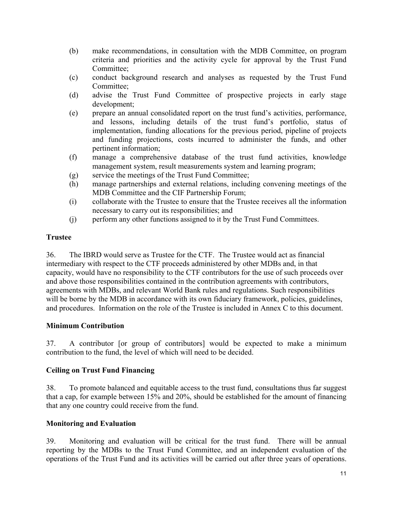- (b) make recommendations, in consultation with the MDB Committee, on program criteria and priorities and the activity cycle for approval by the Trust Fund Committee;
- (c) conduct background research and analyses as requested by the Trust Fund Committee;
- (d) advise the Trust Fund Committee of prospective projects in early stage development;
- (e) prepare an annual consolidated report on the trust fund's activities, performance, and lessons, including details of the trust fund's portfolio, status of implementation, funding allocations for the previous period, pipeline of projects and funding projections, costs incurred to administer the funds, and other pertinent information;
- (f) manage a comprehensive database of the trust fund activities, knowledge management system, result measurements system and learning program;
- (g) service the meetings of the Trust Fund Committee;
- (h) manage partnerships and external relations, including convening meetings of the MDB Committee and the CIF Partnership Forum;
- (i) collaborate with the Trustee to ensure that the Trustee receives all the information necessary to carry out its responsibilities; and
- (j) perform any other functions assigned to it by the Trust Fund Committees.

# **Trustee**

36. The IBRD would serve as Trustee for the CTF. The Trustee would act as financial intermediary with respect to the CTF proceeds administered by other MDBs and, in that capacity, would have no responsibility to the CTF contributors for the use of such proceeds over and above those responsibilities contained in the contribution agreements with contributors, agreements with MDBs, and relevant World Bank rules and regulations. Such responsibilities will be borne by the MDB in accordance with its own fiduciary framework, policies, guidelines, and procedures. Information on the role of the Trustee is included in Annex C to this document.

# **Minimum Contribution**

37. A contributor [or group of contributors] would be expected to make a minimum contribution to the fund, the level of which will need to be decided.

# **Ceiling on Trust Fund Financing**

38. To promote balanced and equitable access to the trust fund, consultations thus far suggest that a cap, for example between 15% and 20%, should be established for the amount of financing that any one country could receive from the fund.

# **Monitoring and Evaluation**

39. Monitoring and evaluation will be critical for the trust fund. There will be annual reporting by the MDBs to the Trust Fund Committee, and an independent evaluation of the operations of the Trust Fund and its activities will be carried out after three years of operations.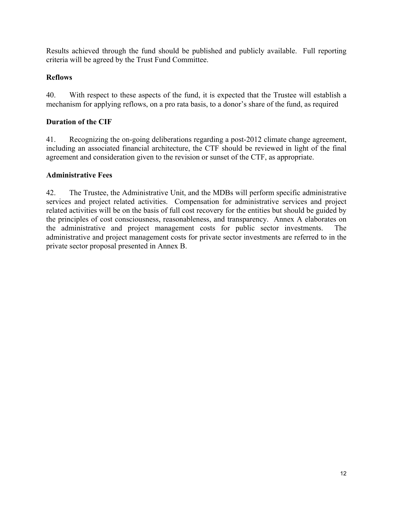Results achieved through the fund should be published and publicly available. Full reporting criteria will be agreed by the Trust Fund Committee.

# **Reflows**

40. With respect to these aspects of the fund, it is expected that the Trustee will establish a mechanism for applying reflows, on a pro rata basis, to a donor's share of the fund, as required

# **Duration of the CIF**

41. Recognizing the on-going deliberations regarding a post-2012 climate change agreement, including an associated financial architecture, the CTF should be reviewed in light of the final agreement and consideration given to the revision or sunset of the CTF, as appropriate.

# **Administrative Fees**

42. The Trustee, the Administrative Unit, and the MDBs will perform specific administrative services and project related activities. Compensation for administrative services and project related activities will be on the basis of full cost recovery for the entities but should be guided by the principles of cost consciousness, reasonableness, and transparency. Annex A elaborates on the administrative and project management costs for public sector investments. The administrative and project management costs for private sector investments are referred to in the private sector proposal presented in Annex B.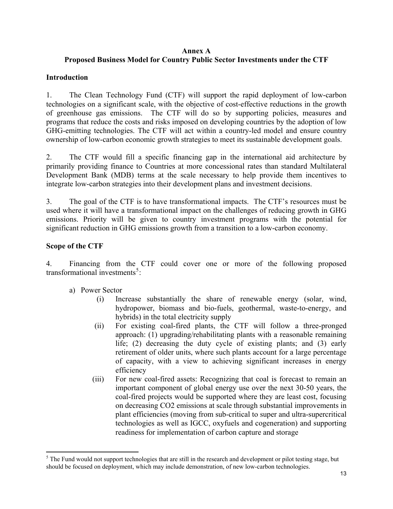## **Annex A Proposed Business Model for Country Public Sector Investments under the CTF**

# **Introduction**

1. The Clean Technology Fund (CTF) will support the rapid deployment of low-carbon technologies on a significant scale, with the objective of cost-effective reductions in the growth of greenhouse gas emissions. The CTF will do so by supporting policies, measures and programs that reduce the costs and risks imposed on developing countries by the adoption of low GHG-emitting technologies. The CTF will act within a country-led model and ensure country ownership of low-carbon economic growth strategies to meet its sustainable development goals.

2. The CTF would fill a specific financing gap in the international aid architecture by primarily providing finance to Countries at more concessional rates than standard Multilateral Development Bank (MDB) terms at the scale necessary to help provide them incentives to integrate low-carbon strategies into their development plans and investment decisions.

3. The goal of the CTF is to have transformational impacts. The CTF's resources must be used where it will have a transformational impact on the challenges of reducing growth in GHG emissions. Priority will be given to country investment programs with the potential for significant reduction in GHG emissions growth from a transition to a low-carbon economy.

# **Scope of the CTF**

 $\overline{a}$ 

4. Financing from the CTF could cover one or more of the following proposed transformational investments<sup>[5](#page-12-0)</sup>:

- a) Power Sector
	- (i) Increase substantially the share of renewable energy (solar, wind, hydropower, biomass and bio-fuels, geothermal, waste-to-energy, and hybrids) in the total electricity supply
	- (ii) For existing coal-fired plants, the CTF will follow a three-pronged approach: (1) upgrading/rehabilitating plants with a reasonable remaining life; (2) decreasing the duty cycle of existing plants; and (3) early retirement of older units, where such plants account for a large percentage of capacity, with a view to achieving significant increases in energy efficiency
	- (iii) For new coal-fired assets: Recognizing that coal is forecast to remain an important component of global energy use over the next 30-50 years, the coal-fired projects would be supported where they are least cost, focusing on decreasing CO2 emissions at scale through substantial improvements in plant efficiencies (moving from sub-critical to super and ultra-supercritical technologies as well as IGCC, oxyfuels and cogeneration) and supporting readiness for implementation of carbon capture and storage

<span id="page-12-0"></span> $<sup>5</sup>$  The Fund would not support technologies that are still in the research and development or pilot testing stage, but</sup> should be focused on deployment, which may include demonstration, of new low-carbon technologies.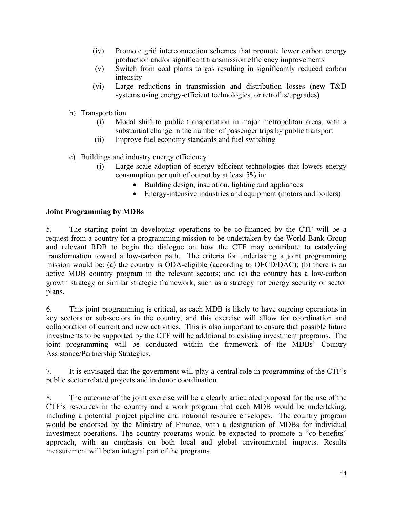- (iv) Promote grid interconnection schemes that promote lower carbon energy production and/or significant transmission efficiency improvements
- (v) Switch from coal plants to gas resulting in significantly reduced carbon intensity
- (vi) Large reductions in transmission and distribution losses (new T&D systems using energy-efficient technologies, or retrofits/upgrades)
- b) Transportation
	- (i) Modal shift to public transportation in major metropolitan areas, with a substantial change in the number of passenger trips by public transport
	- (ii) Improve fuel economy standards and fuel switching
- c) Buildings and industry energy efficiency
	- (i) Large-scale adoption of energy efficient technologies that lowers energy consumption per unit of output by at least 5% in:
		- Building design, insulation, lighting and appliances
		- Energy-intensive industries and equipment (motors and boilers)

#### **Joint Programming by MDBs**

5. The starting point in developing operations to be co-financed by the CTF will be a request from a country for a programming mission to be undertaken by the World Bank Group and relevant RDB to begin the dialogue on how the CTF may contribute to catalyzing transformation toward a low-carbon path. The criteria for undertaking a joint programming mission would be: (a) the country is ODA-eligible (according to OECD/DAC); (b) there is an active MDB country program in the relevant sectors; and (c) the country has a low-carbon growth strategy or similar strategic framework, such as a strategy for energy security or sector plans.

6. This joint programming is critical, as each MDB is likely to have ongoing operations in key sectors or sub-sectors in the country, and this exercise will allow for coordination and collaboration of current and new activities. This is also important to ensure that possible future investments to be supported by the CTF will be additional to existing investment programs. The joint programming will be conducted within the framework of the MDBs' Country Assistance/Partnership Strategies.

7. It is envisaged that the government will play a central role in programming of the CTF's public sector related projects and in donor coordination.

8. The outcome of the joint exercise will be a clearly articulated proposal for the use of the CTF's resources in the country and a work program that each MDB would be undertaking, including a potential project pipeline and notional resource envelopes. The country program would be endorsed by the Ministry of Finance, with a designation of MDBs for individual investment operations. The country programs would be expected to promote a "co-benefits" approach, with an emphasis on both local and global environmental impacts. Results measurement will be an integral part of the programs.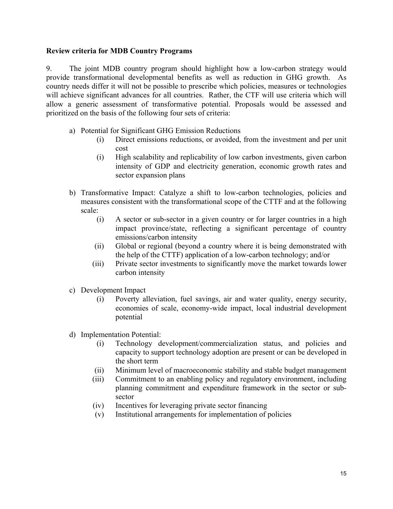#### **Review criteria for MDB Country Programs**

9. The joint MDB country program should highlight how a low-carbon strategy would provide transformational developmental benefits as well as reduction in GHG growth. As country needs differ it will not be possible to prescribe which policies, measures or technologies will achieve significant advances for all countries. Rather, the CTF will use criteria which will allow a generic assessment of transformative potential. Proposals would be assessed and prioritized on the basis of the following four sets of criteria:

- a) Potential for Significant GHG Emission Reductions
	- (i) Direct emissions reductions, or avoided, from the investment and per unit cost
	- (i) High scalability and replicability of low carbon investments, given carbon intensity of GDP and electricity generation, economic growth rates and sector expansion plans
- b) Transformative Impact: Catalyze a shift to low-carbon technologies, policies and measures consistent with the transformational scope of the CTTF and at the following scale:
	- (i) A sector or sub-sector in a given country or for larger countries in a high impact province/state, reflecting a significant percentage of country emissions/carbon intensity
	- (ii) Global or regional (beyond a country where it is being demonstrated with the help of the CTTF) application of a low-carbon technology; and/or
	- (iii) Private sector investments to significantly move the market towards lower carbon intensity
- c) Development Impact
	- (i) Poverty alleviation, fuel savings, air and water quality, energy security, economies of scale, economy-wide impact, local industrial development potential
- d) Implementation Potential:
	- (i) Technology development/commercialization status, and policies and capacity to support technology adoption are present or can be developed in the short term
	- (ii) Minimum level of macroeconomic stability and stable budget management
	- (iii) Commitment to an enabling policy and regulatory environment, including planning commitment and expenditure framework in the sector or subsector
	- (iv) Incentives for leveraging private sector financing
	- (v) Institutional arrangements for implementation of policies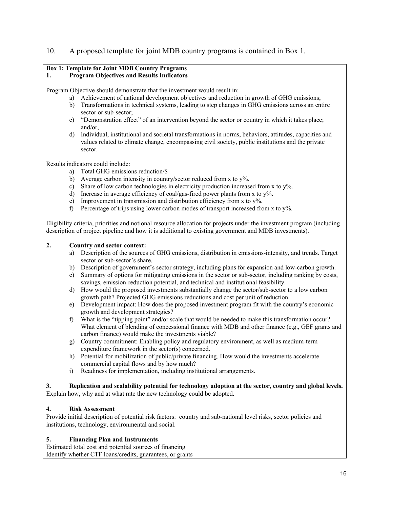#### 10. A proposed template for joint MDB country programs is contained in Box 1.

# **Box 1: Template for Joint MDB Country Programs**

#### **1. Program Objectives and Results Indicators**

Program Objective should demonstrate that the investment would result in:

- a) Achievement of national development objectives and reduction in growth of GHG emissions;
- b) Transformations in technical systems, leading to step changes in GHG emissions across an entire sector or sub-sector;
- c) "Demonstration effect" of an intervention beyond the sector or country in which it takes place; and/or,
- d) Individual, institutional and societal transformations in norms, behaviors, attitudes, capacities and values related to climate change, encompassing civil society, public institutions and the private sector.

Results indicators could include:

- a) Total GHG emissions reduction/\$
- b) Average carbon intensity in country/sector reduced from x to  $y\%$ .
- c) Share of low carbon technologies in electricity production increased from x to  $y\%$ .
- d) Increase in average efficiency of coal/gas-fired power plants from x to  $y\%$ .
- e) Improvement in transmission and distribution efficiency from x to  $y\%$ .
- f) Percentage of trips using lower carbon modes of transport increased from x to  $y\%$ .

Eligibility criteria, priorities and notional resource allocation for projects under the investment program (including description of project pipeline and how it is additional to existing government and MDB investments).

#### **2. Country and sector context:**

- a) Description of the sources of GHG emissions, distribution in emissions-intensity, and trends. Target sector or sub-sector's share.
- b) Description of government's sector strategy, including plans for expansion and low-carbon growth.
- c) Summary of options for mitigating emissions in the sector or sub-sector, including ranking by costs, savings, emission-reduction potential, and technical and institutional feasibility.
- d) How would the proposed investments substantially change the sector/sub-sector to a low carbon growth path? Projected GHG emissions reductions and cost per unit of reduction.
- e) Development impact: How does the proposed investment program fit with the country's economic growth and development strategies?
- f) What is the "tipping point" and/or scale that would be needed to make this transformation occur? What element of blending of concessional finance with MDB and other finance (e.g., GEF grants and carbon finance) would make the investments viable?
- g) Country commitment: Enabling policy and regulatory environment, as well as medium-term expenditure framework in the sector(s) concerned.
- h) Potential for mobilization of public/private financing. How would the investments accelerate commercial capital flows and by how much?
- i) Readiness for implementation, including institutional arrangements.

**3. Replication and scalability potential for technology adoption at the sector, country and global levels.** Explain how, why and at what rate the new technology could be adopted.

#### **4. Risk Assessment**

Provide initial description of potential risk factors: country and sub-national level risks, sector policies and institutions, technology, environmental and social.

#### **5. Financing Plan and Instruments**

Estimated total cost and potential sources of financing Identify whether CTF loans/credits, guarantees, or grants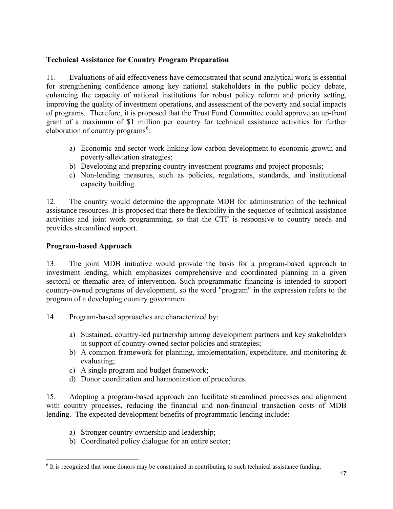# **Technical Assistance for Country Program Preparation**

11. Evaluations of aid effectiveness have demonstrated that sound analytical work is essential for strengthening confidence among key national stakeholders in the public policy debate, enhancing the capacity of national institutions for robust policy reform and priority setting, improving the quality of investment operations, and assessment of the poverty and social impacts of programs. Therefore, it is proposed that the Trust Fund Committee could approve an up-front grant of a maximum of \$1 million per country for technical assistance activities for further elaboration of country programs $<sup>6</sup>$  $<sup>6</sup>$  $<sup>6</sup>$ :</sup>

- a) Economic and sector work linking low carbon development to economic growth and poverty-alleviation strategies;
- b) Developing and preparing country investment programs and project proposals;
- c) Non-lending measures, such as policies, regulations, standards, and institutional capacity building.

12. The country would determine the appropriate MDB for administration of the technical assistance resources. It is proposed that there be flexibility in the sequence of technical assistance activities and joint work programming, so that the CTF is responsive to country needs and provides streamlined support.

# **Program-based Approach**

13. The joint MDB initiative would provide the basis for a program-based approach to investment lending, which emphasizes comprehensive and coordinated planning in a given sectoral or thematic area of intervention. Such programmatic financing is intended to support country-owned programs of development, so the word "program" in the expression refers to the program of a developing country government.

- 14. Program-based approaches are characterized by:
	- a) Sustained, country-led partnership among development partners and key stakeholders in support of country-owned sector policies and strategies;
	- b) A common framework for planning, implementation, expenditure, and monitoring  $\&$ evaluating;
	- c) A single program and budget framework;
	- d) Donor coordination and harmonization of procedures.

15. Adopting a program-based approach can facilitate streamlined processes and alignment with country processes, reducing the financial and non-financial transaction costs of MDB lending. The expected development benefits of programmatic lending include:

- a) Stronger country ownership and leadership;
- b) Coordinated policy dialogue for an entire sector;

<span id="page-16-0"></span><sup>&</sup>lt;sup>6</sup> It is recognized that some donors may be constrained in contributing to such technical assistance funding.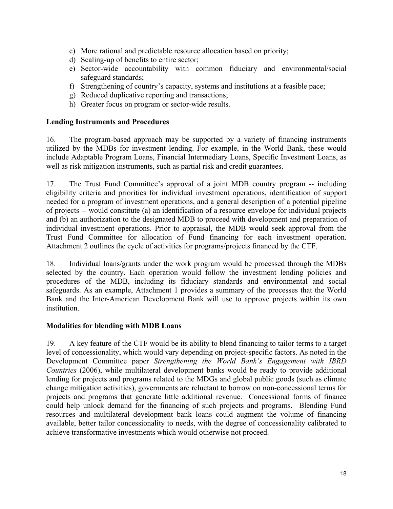- c) More rational and predictable resource allocation based on priority;
- d) Scaling-up of benefits to entire sector;
- e) Sector-wide accountability with common fiduciary and environmental/social safeguard standards;
- f) Strengthening of country's capacity, systems and institutions at a feasible pace;
- g) Reduced duplicative reporting and transactions;
- h) Greater focus on program or sector-wide results.

# **Lending Instruments and Procedures**

16. The program-based approach may be supported by a variety of financing instruments utilized by the MDBs for investment lending. For example, in the World Bank, these would include Adaptable Program Loans, Financial Intermediary Loans, Specific Investment Loans, as well as risk mitigation instruments, such as partial risk and credit guarantees.

17. The Trust Fund Committee's approval of a joint MDB country program -- including eligibility criteria and priorities for individual investment operations, identification of support needed for a program of investment operations, and a general description of a potential pipeline of projects -- would constitute (a) an identification of a resource envelope for individual projects and (b) an authorization to the designated MDB to proceed with development and preparation of individual investment operations. Prior to appraisal, the MDB would seek approval from the Trust Fund Committee for allocation of Fund financing for each investment operation. Attachment 2 outlines the cycle of activities for programs/projects financed by the CTF.

18. Individual loans/grants under the work program would be processed through the MDBs selected by the country. Each operation would follow the investment lending policies and procedures of the MDB, including its fiduciary standards and environmental and social safeguards. As an example, Attachment 1 provides a summary of the processes that the World Bank and the Inter-American Development Bank will use to approve projects within its own institution.

# **Modalities for blending with MDB Loans**

19. A key feature of the CTF would be its ability to blend financing to tailor terms to a target level of concessionality, which would vary depending on project-specific factors. As noted in the Development Committee paper *Strengthening the World Bank's Engagement with IBRD Countries* (2006), while multilateral development banks would be ready to provide additional lending for projects and programs related to the MDGs and global public goods (such as climate change mitigation activities), governments are reluctant to borrow on non-concessional terms for projects and programs that generate little additional revenue. Concessional forms of finance could help unlock demand for the financing of such projects and programs. Blending Fund resources and multilateral development bank loans could augment the volume of financing available, better tailor concessionality to needs, with the degree of concessionality calibrated to achieve transformative investments which would otherwise not proceed.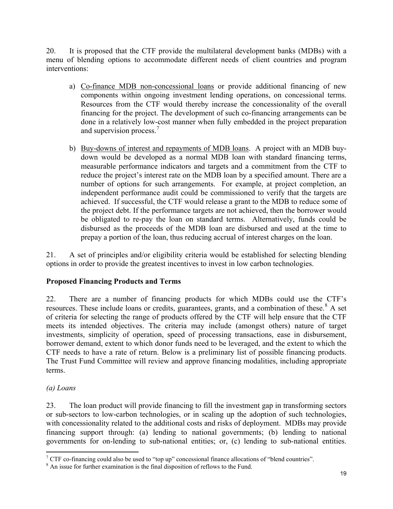20. It is proposed that the CTF provide the multilateral development banks (MDBs) with a menu of blending options to accommodate different needs of client countries and program interventions:

- a) Co-finance MDB non-concessional loans or provide additional financing of new components within ongoing investment lending operations, on concessional terms. Resources from the CTF would thereby increase the concessionality of the overall financing for the project. The development of such co-financing arrangements can be done in a relatively low-cost manner when fully embedded in the project preparation and supervision process.<sup>[7](#page-18-0)</sup>
- b) Buy-downs of interest and repayments of MDB loans. A project with an MDB buydown would be developed as a normal MDB loan with standard financing terms, measurable performance indicators and targets and a commitment from the CTF to reduce the project's interest rate on the MDB loan by a specified amount. There are a number of options for such arrangements. For example, at project completion, an independent performance audit could be commissioned to verify that the targets are achieved. If successful, the CTF would release a grant to the MDB to reduce some of the project debt. If the performance targets are not achieved, then the borrower would be obligated to re-pay the loan on standard terms. Alternatively, funds could be disbursed as the proceeds of the MDB loan are disbursed and used at the time to prepay a portion of the loan, thus reducing accrual of interest charges on the loan.

21. A set of principles and/or eligibility criteria would be established for selecting blending options in order to provide the greatest incentives to invest in low carbon technologies.

# **Proposed Financing Products and Terms**

22. There are a number of financing products for which MDBs could use the CTF's resources. These include loans or credits, guarantees, grants, and a combination of these.<sup>[8](#page-18-1)</sup> A set of criteria for selecting the range of products offered by the CTF will help ensure that the CTF meets its intended objectives. The criteria may include (amongst others) nature of target investments, simplicity of operation, speed of processing transactions, ease in disbursement, borrower demand, extent to which donor funds need to be leveraged, and the extent to which the CTF needs to have a rate of return. Below is a preliminary list of possible financing products. The Trust Fund Committee will review and approve financing modalities, including appropriate terms.

# *(a) Loans*

23. The loan product will provide financing to fill the investment gap in transforming sectors or sub-sectors to low-carbon technologies, or in scaling up the adoption of such technologies, with concessionality related to the additional costs and risks of deployment. MDBs may provide financing support through: (a) lending to national governments; (b) lending to national governments for on-lending to sub-national entities; or, (c) lending to sub-national entities.

 $\overline{a}$ <sup>7</sup> CTF co-financing could also be used to "top up" concessional finance allocations of "blend countries".

<span id="page-18-1"></span><span id="page-18-0"></span><sup>&</sup>lt;sup>8</sup> An issue for further examination is the final disposition of reflows to the Fund.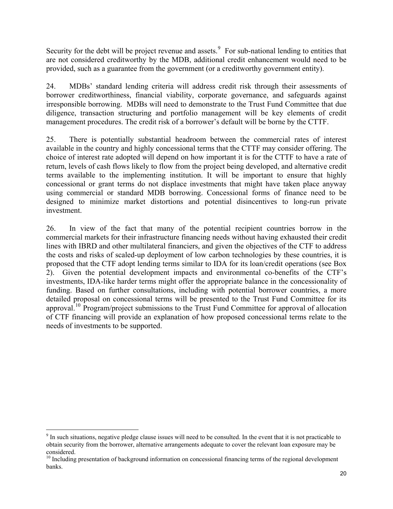Security for the debt will be project revenue and assets. $9$  For sub-national lending to entities that are not considered creditworthy by the MDB, additional credit enhancement would need to be provided, such as a guarantee from the government (or a creditworthy government entity).

24. MDBs' standard lending criteria will address credit risk through their assessments of borrower creditworthiness, financial viability, corporate governance, and safeguards against irresponsible borrowing. MDBs will need to demonstrate to the Trust Fund Committee that due diligence, transaction structuring and portfolio management will be key elements of credit management procedures. The credit risk of a borrower's default will be borne by the CTTF.

25. There is potentially substantial headroom between the commercial rates of interest available in the country and highly concessional terms that the CTTF may consider offering. The choice of interest rate adopted will depend on how important it is for the CTTF to have a rate of return, levels of cash flows likely to flow from the project being developed, and alternative credit terms available to the implementing institution. It will be important to ensure that highly concessional or grant terms do not displace investments that might have taken place anyway using commercial or standard MDB borrowing. Concessional forms of finance need to be designed to minimize market distortions and potential disincentives to long-run private investment.

26. In view of the fact that many of the potential recipient countries borrow in the commercial markets for their infrastructure financing needs without having exhausted their credit lines with IBRD and other multilateral financiers, and given the objectives of the CTF to address the costs and risks of scaled-up deployment of low carbon technologies by these countries, it is proposed that the CTF adopt lending terms similar to IDA for its loan/credit operations (see Box 2). Given the potential development impacts and environmental co-benefits of the CTF's investments, IDA-like harder terms might offer the appropriate balance in the concessionality of funding. Based on further consultations, including with potential borrower countries, a more detailed proposal on concessional terms will be presented to the Trust Fund Committee for its approval.[10](#page-19-1) Program/project submissions to the Trust Fund Committee for approval of allocation of CTF financing will provide an explanation of how proposed concessional terms relate to the needs of investments to be supported.

 $\overline{a}$ 

<span id="page-19-0"></span> $9<sup>9</sup>$  In such situations, negative pledge clause issues will need to be consulted. In the event that it is not practicable to obtain security from the borrower, alternative arrangements adequate to cover the relevant loan exposure may be considered.

<span id="page-19-1"></span><sup>&</sup>lt;sup>10</sup> Including presentation of background information on concessional financing terms of the regional development banks.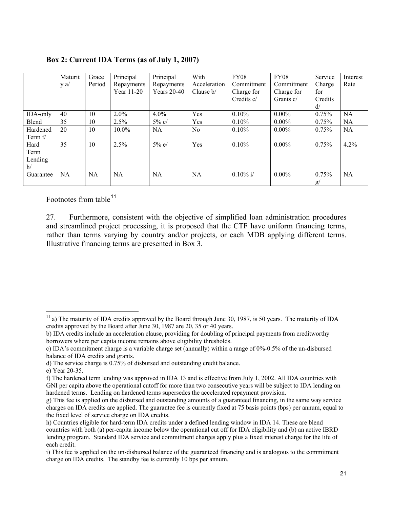|           | Maturit | Grace     | Principal  | Principal          | With           | <b>FY08</b> | <b>FY08</b> | Service | Interest  |
|-----------|---------|-----------|------------|--------------------|----------------|-------------|-------------|---------|-----------|
|           | $y$ a/  | Period    | Repayments | Repayments         | Acceleration   | Commitment  | Commitment  | Charge  | Rate      |
|           |         |           | Year 11-20 | <b>Years</b> 20-40 | Clause $b/$    | Charge for  | Charge for  | for     |           |
|           |         |           |            |                    |                | Credits c/  | Grants c/   | Credits |           |
|           |         |           |            |                    |                |             |             | d/      |           |
| IDA-only  | 40      | 10        | $2.0\%$    | $4.0\%$            | Yes            | 0.10%       | $0.00\%$    | 0.75%   | <b>NA</b> |
| Blend     | 35      | 10        | 2.5%       | $5\%$ e/           | Yes            | $0.10\%$    | $0.00\%$    | 0.75%   | <b>NA</b> |
| Hardened  | 20      | 10        | $10.0\%$   | <b>NA</b>          | N <sub>0</sub> | 0.10%       | $0.00\%$    | 0.75%   | <b>NA</b> |
| Term $f$  |         |           |            |                    |                |             |             |         |           |
| Hard      | 35      | 10        | 2.5%       | 5% e/              | Yes            | 0.10%       | $0.00\%$    | 0.75%   | 4.2%      |
| Term      |         |           |            |                    |                |             |             |         |           |
| Lending   |         |           |            |                    |                |             |             |         |           |
| h/        |         |           |            |                    |                |             |             |         |           |
| Guarantee | NA      | <b>NA</b> | <b>NA</b>  | <b>NA</b>          | <b>NA</b>      | $0.10\%$ i/ | $0.00\%$    | 0.75%   | NA        |
|           |         |           |            |                    |                |             |             | g/      |           |

Footnotes from table<sup>[11](#page-20-0)</sup>

27. Furthermore, consistent with the objective of simplified loan administration procedures and streamlined project processing, it is proposed that the CTF have uniform financing terms, rather than terms varying by country and/or projects, or each MDB applying different terms. Illustrative financing terms are presented in Box 3.

<span id="page-20-0"></span> $\overline{a}$  $11$  a) The maturity of IDA credits approved by the Board through June 30, 1987, is 50 years. The maturity of IDA credits approved by the Board after June 30, 1987 are 20, 35 or 40 years.

b) IDA credits include an acceleration clause, providing for doubling of principal payments from creditworthy borrowers where per capita income remains above eligibility thresholds.

c) IDA's commitment charge is a variable charge set (annually) within a range of 0%-0.5% of the un-disbursed balance of IDA credits and grants.

d) The service charge is 0.75% of disbursed and outstanding credit balance.

e) Year 20-35.

f) The hardened term lending was approved in IDA 13 and is effective from July 1, 2002. All IDA countries with GNI per capita above the operational cutoff for more than two consecutive years will be subject to IDA lending on hardened terms. Lending on hardened terms supersedes the accelerated repayment provision.

g) This fee is applied on the disbursed and outstanding amounts of a guaranteed financing, in the same way service charges on IDA credits are applied. The guarantee fee is currently fixed at 75 basis points (bps) per annum, equal to the fixed level of service charge on IDA credits.

h) Countries eligible for hard-term IDA credits under a defined lending window in IDA 14. These are blend countries with both (a) per-capita income below the operational cut off for IDA eligibility and (b) an active IBRD lending program. Standard IDA service and commitment charges apply plus a fixed interest charge for the life of each credit.

i) This fee is applied on the un-disbursed balance of the guaranteed financing and is analogous to the commitment charge on IDA credits. The standby fee is currently 10 bps per annum.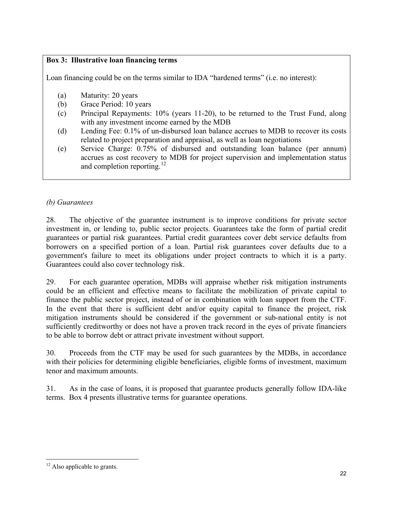# **Box 3: Illustrative loan financing terms**

Loan financing could be on the terms similar to IDA "hardened terms" (i.e. no interest):

- (a) Maturity: 20 years
- (b) Grace Period: 10 years
- (c) Principal Repayments: 10% (years 11-20), to be returned to the Trust Fund, along with any investment income earned by the MDB
- (d) Lending Fee: 0.1% of un-disbursed loan balance accrues to MDB to recover its costs related to project preparation and appraisal, as well as loan negotiations
- (e) Service Charge: 0.75% of disbursed and outstanding loan balance (per annum) accrues as cost recovery to MDB for project supervision and implementation status and completion reporting.<sup>[12](#page-21-0)</sup>

# *(b) Guarantees*

28. The objective of the guarantee instrument is to improve conditions for private sector investment in, or lending to, public sector projects. Guarantees take the form of partial credit guarantees or partial risk guarantees. Partial credit guarantees cover debt service defaults from borrowers on a specified portion of a loan. Partial risk guarantees cover defaults due to a government's failure to meet its obligations under project contracts to which it is a party. Guarantees could also cover technology risk.

29. For each guarantee operation, MDBs will appraise whether risk mitigation instruments could be an efficient and effective means to facilitate the mobilization of private capital to finance the public sector project, instead of or in combination with loan support from the CTF. In the event that there is sufficient debt and/or equity capital to finance the project, risk mitigation instruments should be considered if the government or sub-national entity is not sufficiently creditworthy or does not have a proven track record in the eyes of private financiers to be able to borrow debt or attract private investment without support.

30. Proceeds from the CTF may be used for such guarantees by the MDBs, in accordance with their policies for determining eligible beneficiaries, eligible forms of investment, maximum tenor and maximum amounts.

31. As in the case of loans, it is proposed that guarantee products generally follow IDA-like terms. Box 4 presents illustrative terms for guarantee operations.

<span id="page-21-0"></span> $\overline{a}$  $12$  Also applicable to grants.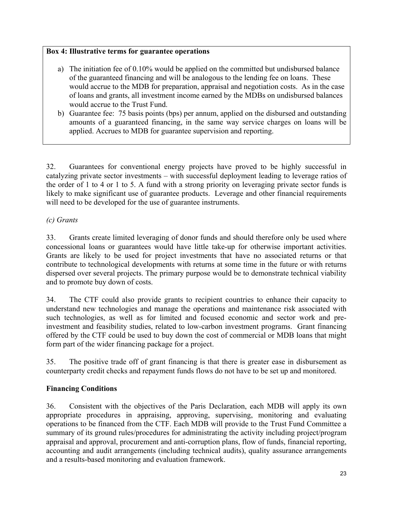# **Box 4: Illustrative terms for guarantee operations**

- a) The initiation fee of 0.10% would be applied on the committed but undisbursed balance of the guaranteed financing and will be analogous to the lending fee on loans. These would accrue to the MDB for preparation, appraisal and negotiation costs. As in the case of loans and grants, all investment income earned by the MDBs on undisbursed balances would accrue to the Trust Fund.
- b) Guarantee fee: 75 basis points (bps) per annum, applied on the disbursed and outstanding amounts of a guaranteed financing, in the same way service charges on loans will be applied. Accrues to MDB for guarantee supervision and reporting.

32. Guarantees for conventional energy projects have proved to be highly successful in catalyzing private sector investments – with successful deployment leading to leverage ratios of the order of 1 to 4 or 1 to 5. A fund with a strong priority on leveraging private sector funds is likely to make significant use of guarantee products. Leverage and other financial requirements will need to be developed for the use of guarantee instruments.

# *(c) Grants*

33. Grants create limited leveraging of donor funds and should therefore only be used where concessional loans or guarantees would have little take-up for otherwise important activities. Grants are likely to be used for project investments that have no associated returns or that contribute to technological developments with returns at some time in the future or with returns dispersed over several projects. The primary purpose would be to demonstrate technical viability and to promote buy down of costs.

34. The CTF could also provide grants to recipient countries to enhance their capacity to understand new technologies and manage the operations and maintenance risk associated with such technologies, as well as for limited and focused economic and sector work and preinvestment and feasibility studies, related to low-carbon investment programs. Grant financing offered by the CTF could be used to buy down the cost of commercial or MDB loans that might form part of the wider financing package for a project.

35. The positive trade off of grant financing is that there is greater ease in disbursement as counterparty credit checks and repayment funds flows do not have to be set up and monitored.

# **Financing Conditions**

36. Consistent with the objectives of the Paris Declaration, each MDB will apply its own appropriate procedures in appraising, approving, supervising, monitoring and evaluating operations to be financed from the CTF. Each MDB will provide to the Trust Fund Committee a summary of its ground rules/procedures for administrating the activity including project/program appraisal and approval, procurement and anti-corruption plans, flow of funds, financial reporting, accounting and audit arrangements (including technical audits), quality assurance arrangements and a results-based monitoring and evaluation framework.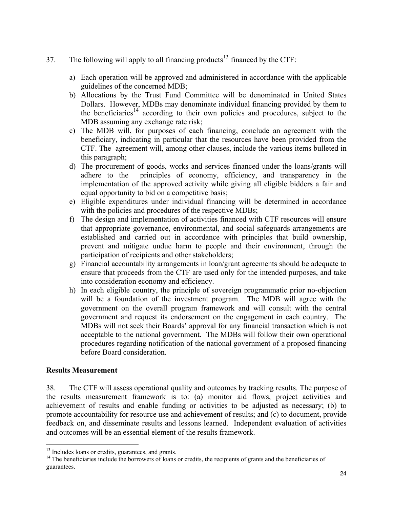- 37. The following will apply to all financing products<sup>[13](#page-23-0)</sup> financed by the CTF:
	- a) Each operation will be approved and administered in accordance with the applicable guidelines of the concerned MDB;
	- b) Allocations by the Trust Fund Committee will be denominated in United States Dollars. However, MDBs may denominate individual financing provided by them to the beneficiaries<sup>[14](#page-23-1)</sup> according to their own policies and procedures, subject to the MDB assuming any exchange rate risk;
	- c) The MDB will, for purposes of each financing, conclude an agreement with the beneficiary, indicating in particular that the resources have been provided from the CTF. The agreement will, among other clauses, include the various items bulleted in this paragraph;
	- d) The procurement of goods, works and services financed under the loans/grants will adhere to the principles of economy, efficiency, and transparency in the implementation of the approved activity while giving all eligible bidders a fair and equal opportunity to bid on a competitive basis;
	- e) Eligible expenditures under individual financing will be determined in accordance with the policies and procedures of the respective MDBs;
	- f) The design and implementation of activities financed with CTF resources will ensure that appropriate governance, environmental, and social safeguards arrangements are established and carried out in accordance with principles that build ownership, prevent and mitigate undue harm to people and their environment, through the participation of recipients and other stakeholders;
	- g) Financial accountability arrangements in loan/grant agreements should be adequate to ensure that proceeds from the CTF are used only for the intended purposes, and take into consideration economy and efficiency.
	- h) In each eligible country, the principle of sovereign programmatic prior no-objection will be a foundation of the investment program. The MDB will agree with the government on the overall program framework and will consult with the central government and request its endorsement on the engagement in each country. The MDBs will not seek their Boards' approval for any financial transaction which is not acceptable to the national government. The MDBs will follow their own operational procedures regarding notification of the national government of a proposed financing before Board consideration.

# **Results Measurement**

 $\overline{a}$ 

38. The CTF will assess operational quality and outcomes by tracking results. The purpose of the results measurement framework is to: (a) monitor aid flows, project activities and achievement of results and enable funding or activities to be adjusted as necessary; (b) to promote accountability for resource use and achievement of results; and (c) to document, provide feedback on, and disseminate results and lessons learned. Independent evaluation of activities and outcomes will be an essential element of the results framework.

<span id="page-23-1"></span><span id="page-23-0"></span> $13$  Includes loans or credits, guarantees, and grants.<br><sup>14</sup> The beneficiaries include the borrowers of loans or credits, the recipients of grants and the beneficiaries of guarantees.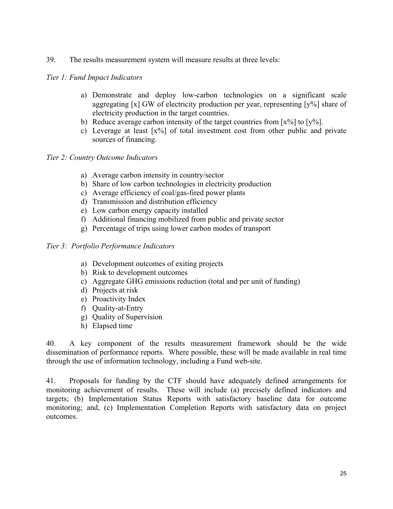39. The results measurement system will measure results at three levels:

#### *Tier 1: Fund Impact Indicators*

- a) Demonstrate and deploy low-carbon technologies on a significant scale aggregating [x] GW of electricity production per year, representing [y%] share of electricity production in the target countries.
- b) Reduce average carbon intensity of the target countries from  $[x\%]$  to  $[y\%]$ .
- c) Leverage at least [x%] of total investment cost from other public and private sources of financing.

#### *Tier 2: Country Outcome Indicators*

- a) Average carbon intensity in country/sector
- b) Share of low carbon technologies in electricity production
- c) Average efficiency of coal/gas-fired power plants
- d) Transmission and distribution efficiency
- e) Low carbon energy capacity installed
- f) Additional financing mobilized from public and private sector
- g) Percentage of trips using lower carbon modes of transport

#### *Tier 3: Portfolio Performance Indicators*

- a) Development outcomes of exiting projects
- b) Risk to development outcomes
- c) Aggregate GHG emissions reduction (total and per unit of funding)
- d) Projects at risk
- e) Proactivity Index
- f) Quality-at-Entry
- g) Quality of Supervision
- h) Elapsed time

40. A key component of the results measurement framework should be the wide dissemination of performance reports. Where possible, these will be made available in real time through the use of information technology, including a Fund web-site.

41. Proposals for funding by the CTF should have adequately defined arrangements for monitoring achievement of results. These will include (a) precisely defined indicators and targets; (b) Implementation Status Reports with satisfactory baseline data for outcome monitoring; and, (c) Implementation Completion Reports with satisfactory data on project outcomes.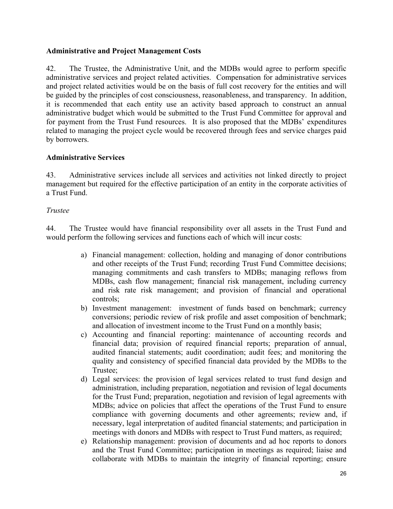## **Administrative and Project Management Costs**

42. The Trustee, the Administrative Unit, and the MDBs would agree to perform specific administrative services and project related activities. Compensation for administrative services and project related activities would be on the basis of full cost recovery for the entities and will be guided by the principles of cost consciousness, reasonableness, and transparency. In addition, it is recommended that each entity use an activity based approach to construct an annual administrative budget which would be submitted to the Trust Fund Committee for approval and for payment from the Trust Fund resources. It is also proposed that the MDBs' expenditures related to managing the project cycle would be recovered through fees and service charges paid by borrowers.

#### **Administrative Services**

43. Administrative services include all services and activities not linked directly to project management but required for the effective participation of an entity in the corporate activities of a Trust Fund.

#### *Trustee*

44. The Trustee would have financial responsibility over all assets in the Trust Fund and would perform the following services and functions each of which will incur costs:

- a) Financial management: collection, holding and managing of donor contributions and other receipts of the Trust Fund; recording Trust Fund Committee decisions; managing commitments and cash transfers to MDBs; managing reflows from MDBs, cash flow management; financial risk management, including currency and risk rate risk management; and provision of financial and operational controls;
- b) Investment management: investment of funds based on benchmark; currency conversions; periodic review of risk profile and asset composition of benchmark; and allocation of investment income to the Trust Fund on a monthly basis;
- c) Accounting and financial reporting: maintenance of accounting records and financial data; provision of required financial reports; preparation of annual, audited financial statements; audit coordination; audit fees; and monitoring the quality and consistency of specified financial data provided by the MDBs to the Trustee;
- d) Legal services: the provision of legal services related to trust fund design and administration, including preparation, negotiation and revision of legal documents for the Trust Fund; preparation, negotiation and revision of legal agreements with MDBs; advice on policies that affect the operations of the Trust Fund to ensure compliance with governing documents and other agreements; review and, if necessary, legal interpretation of audited financial statements; and participation in meetings with donors and MDBs with respect to Trust Fund matters, as required;
- e) Relationship management: provision of documents and ad hoc reports to donors and the Trust Fund Committee; participation in meetings as required; liaise and collaborate with MDBs to maintain the integrity of financial reporting; ensure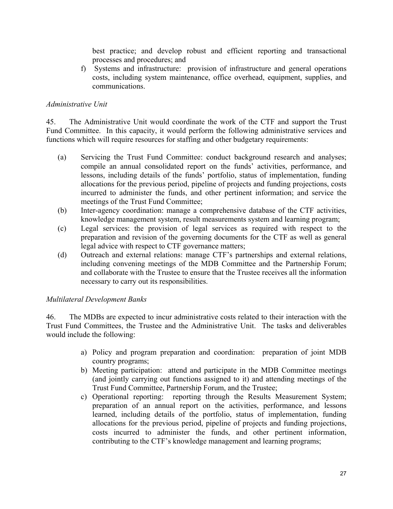best practice; and develop robust and efficient reporting and transactional processes and procedures; and

f) Systems and infrastructure: provision of infrastructure and general operations costs, including system maintenance, office overhead, equipment, supplies, and communications.

## *Administrative Unit*

45. The Administrative Unit would coordinate the work of the CTF and support the Trust Fund Committee. In this capacity, it would perform the following administrative services and functions which will require resources for staffing and other budgetary requirements:

- (a) Servicing the Trust Fund Committee: conduct background research and analyses; compile an annual consolidated report on the funds' activities, performance, and lessons, including details of the funds' portfolio, status of implementation, funding allocations for the previous period, pipeline of projects and funding projections, costs incurred to administer the funds, and other pertinent information; and service the meetings of the Trust Fund Committee;
- (b) Inter-agency coordination: manage a comprehensive database of the CTF activities, knowledge management system, result measurements system and learning program;
- (c) Legal services: the provision of legal services as required with respect to the preparation and revision of the governing documents for the CTF as well as general legal advice with respect to CTF governance matters;
- (d) Outreach and external relations: manage CTF's partnerships and external relations, including convening meetings of the MDB Committee and the Partnership Forum; and collaborate with the Trustee to ensure that the Trustee receives all the information necessary to carry out its responsibilities.

#### *Multilateral Development Banks*

46. The MDBs are expected to incur administrative costs related to their interaction with the Trust Fund Committees, the Trustee and the Administrative Unit. The tasks and deliverables would include the following:

- a) Policy and program preparation and coordination: preparation of joint MDB country programs;
- b) Meeting participation: attend and participate in the MDB Committee meetings (and jointly carrying out functions assigned to it) and attending meetings of the Trust Fund Committee, Partnership Forum, and the Trustee;
- c) Operational reporting: reporting through the Results Measurement System; preparation of an annual report on the activities, performance, and lessons learned, including details of the portfolio, status of implementation, funding allocations for the previous period, pipeline of projects and funding projections, costs incurred to administer the funds, and other pertinent information, contributing to the CTF's knowledge management and learning programs;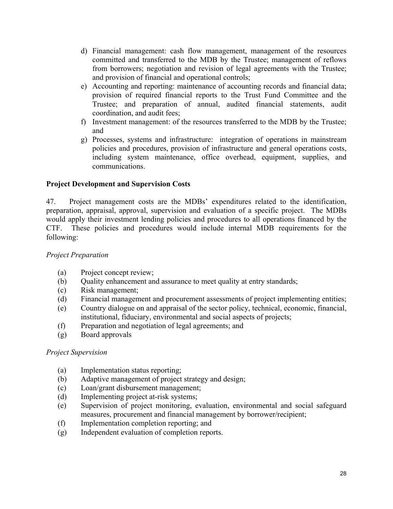- d) Financial management: cash flow management, management of the resources committed and transferred to the MDB by the Trustee; management of reflows from borrowers; negotiation and revision of legal agreements with the Trustee; and provision of financial and operational controls;
- e) Accounting and reporting: maintenance of accounting records and financial data; provision of required financial reports to the Trust Fund Committee and the Trustee; and preparation of annual, audited financial statements, audit coordination, and audit fees;
- f) Investment management: of the resources transferred to the MDB by the Trustee; and
- g) Processes, systems and infrastructure: integration of operations in mainstream policies and procedures, provision of infrastructure and general operations costs, including system maintenance, office overhead, equipment, supplies, and communications.

# **Project Development and Supervision Costs**

47. Project management costs are the MDBs' expenditures related to the identification, preparation, appraisal, approval, supervision and evaluation of a specific project. The MDBs would apply their investment lending policies and procedures to all operations financed by the CTF. These policies and procedures would include internal MDB requirements for the following:

# *Project Preparation*

- (a) Project concept review;
- (b) Quality enhancement and assurance to meet quality at entry standards;
- (c) Risk management;
- (d) Financial management and procurement assessments of project implementing entities;
- (e) Country dialogue on and appraisal of the sector policy, technical, economic, financial, institutional, fiduciary, environmental and social aspects of projects;
- (f) Preparation and negotiation of legal agreements; and
- (g) Board approvals

# *Project Supervision*

- (a) Implementation status reporting;
- (b) Adaptive management of project strategy and design;
- (c) Loan/grant disbursement management;
- (d) Implementing project at-risk systems;
- (e) Supervision of project monitoring, evaluation, environmental and social safeguard measures, procurement and financial management by borrower/recipient;
- (f) Implementation completion reporting; and
- (g) Independent evaluation of completion reports.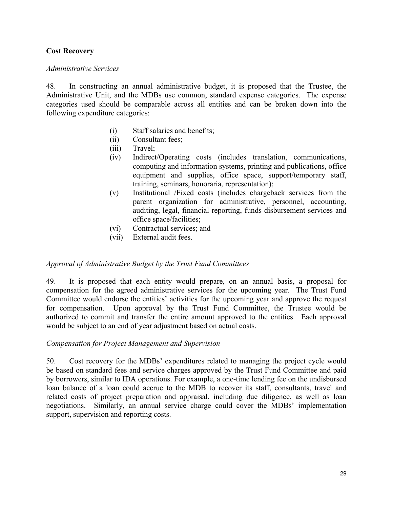# **Cost Recovery**

#### *Administrative Services*

48. In constructing an annual administrative budget, it is proposed that the Trustee, the Administrative Unit, and the MDBs use common, standard expense categories. The expense categories used should be comparable across all entities and can be broken down into the following expenditure categories:

- (i) Staff salaries and benefits;
- (ii) Consultant fees;
- (iii) Travel;
- (iv) Indirect/Operating costs (includes translation, communications, computing and information systems, printing and publications, office equipment and supplies, office space, support/temporary staff, training, seminars, honoraria, representation);
- (v) Institutional /Fixed costs (includes chargeback services from the parent organization for administrative, personnel, accounting, auditing, legal, financial reporting, funds disbursement services and office space/facilities;
- (vi) Contractual services; and
- (vii) External audit fees.

# *Approval of Administrative Budget by the Trust Fund Committees*

49. It is proposed that each entity would prepare, on an annual basis, a proposal for compensation for the agreed administrative services for the upcoming year. The Trust Fund Committee would endorse the entities' activities for the upcoming year and approve the request for compensation. Upon approval by the Trust Fund Committee, the Trustee would be authorized to commit and transfer the entire amount approved to the entities. Each approval would be subject to an end of year adjustment based on actual costs.

#### *Compensation for Project Management and Supervision*

50. Cost recovery for the MDBs' expenditures related to managing the project cycle would be based on standard fees and service charges approved by the Trust Fund Committee and paid by borrowers, similar to IDA operations. For example, a one-time lending fee on the undisbursed loan balance of a loan could accrue to the MDB to recover its staff, consultants, travel and related costs of project preparation and appraisal, including due diligence, as well as loan negotiations. Similarly, an annual service charge could cover the MDBs' implementation support, supervision and reporting costs.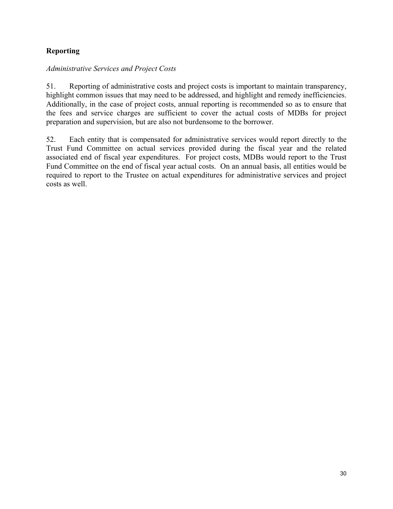# **Reporting**

# *Administrative Services and Project Costs*

51. Reporting of administrative costs and project costs is important to maintain transparency, highlight common issues that may need to be addressed, and highlight and remedy inefficiencies. Additionally, in the case of project costs, annual reporting is recommended so as to ensure that the fees and service charges are sufficient to cover the actual costs of MDBs for project preparation and supervision, but are also not burdensome to the borrower.

52. Each entity that is compensated for administrative services would report directly to the Trust Fund Committee on actual services provided during the fiscal year and the related associated end of fiscal year expenditures. For project costs, MDBs would report to the Trust Fund Committee on the end of fiscal year actual costs. On an annual basis, all entities would be required to report to the Trustee on actual expenditures for administrative services and project costs as well.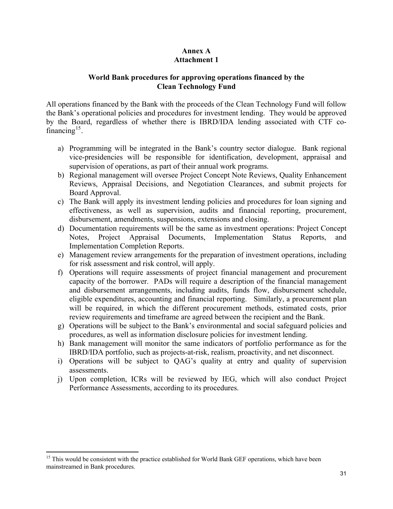# **Annex A Attachment 1**

#### **World Bank procedures for approving operations financed by the Clean Technology Fund**

All operations financed by the Bank with the proceeds of the Clean Technology Fund will follow the Bank's operational policies and procedures for investment lending. They would be approved by the Board, regardless of whether there is IBRD/IDA lending associated with CTF co-financing<sup>[15](#page-30-0)</sup>.

- a) Programming will be integrated in the Bank's country sector dialogue. Bank regional vice-presidencies will be responsible for identification, development, appraisal and supervision of operations, as part of their annual work programs.
- b) Regional management will oversee Project Concept Note Reviews, Quality Enhancement Reviews, Appraisal Decisions, and Negotiation Clearances, and submit projects for Board Approval.
- c) The Bank will apply its investment lending policies and procedures for loan signing and effectiveness, as well as supervision, audits and financial reporting, procurement, disbursement, amendments, suspensions, extensions and closing.
- d) Documentation requirements will be the same as investment operations: Project Concept Notes, Project Appraisal Documents, Implementation Status Reports, and Implementation Completion Reports.
- e) Management review arrangements for the preparation of investment operations, including for risk assessment and risk control, will apply.
- f) Operations will require assessments of project financial management and procurement capacity of the borrower. PADs will require a description of the financial management and disbursement arrangements, including audits, funds flow, disbursement schedule, eligible expenditures, accounting and financial reporting. Similarly, a procurement plan will be required, in which the different procurement methods, estimated costs, prior review requirements and timeframe are agreed between the recipient and the Bank.
- g) Operations will be subject to the Bank's environmental and social safeguard policies and procedures, as well as information disclosure policies for investment lending.
- h) Bank management will monitor the same indicators of portfolio performance as for the IBRD/IDA portfolio, such as projects-at-risk, realism, proactivity, and net disconnect.
- i) Operations will be subject to QAG's quality at entry and quality of supervision assessments.
- j) Upon completion, ICRs will be reviewed by IEG, which will also conduct Project Performance Assessments, according to its procedures.

 $\overline{a}$ 

<span id="page-30-0"></span><sup>&</sup>lt;sup>15</sup> This would be consistent with the practice established for World Bank GEF operations, which have been mainstreamed in Bank procedures.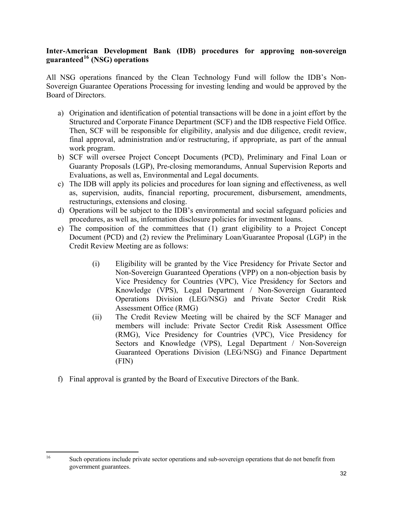# **Inter-American Development Bank (IDB) procedures for approving non-sovereign guaranteed[16](#page-31-0) (NSG) operations**

All NSG operations financed by the Clean Technology Fund will follow the IDB's Non-Sovereign Guarantee Operations Processing for investing lending and would be approved by the Board of Directors.

- a) Origination and identification of potential transactions will be done in a joint effort by the Structured and Corporate Finance Department (SCF) and the IDB respective Field Office. Then, SCF will be responsible for eligibility, analysis and due diligence, credit review, final approval, administration and/or restructuring, if appropriate, as part of the annual work program.
- b) SCF will oversee Project Concept Documents (PCD), Preliminary and Final Loan or Guaranty Proposals (LGP), Pre-closing memorandums, Annual Supervision Reports and Evaluations, as well as, Environmental and Legal documents.
- c) The IDB will apply its policies and procedures for loan signing and effectiveness, as well as, supervision, audits, financial reporting, procurement, disbursement, amendments, restructurings, extensions and closing.
- d) Operations will be subject to the IDB's environmental and social safeguard policies and procedures, as well as, information disclosure policies for investment loans.
- e) The composition of the committees that (1) grant eligibility to a Project Concept Document (PCD) and (2) review the Preliminary Loan/Guarantee Proposal (LGP) in the Credit Review Meeting are as follows:
	- (i) Eligibility will be granted by the Vice Presidency for Private Sector and Non-Sovereign Guaranteed Operations (VPP) on a non-objection basis by Vice Presidency for Countries (VPC), Vice Presidency for Sectors and Knowledge (VPS), Legal Department / Non-Sovereign Guaranteed Operations Division (LEG/NSG) and Private Sector Credit Risk Assessment Office (RMG)
	- (ii) The Credit Review Meeting will be chaired by the SCF Manager and members will include: Private Sector Credit Risk Assessment Office (RMG), Vice Presidency for Countries (VPC), Vice Presidency for Sectors and Knowledge (VPS), Legal Department / Non-Sovereign Guaranteed Operations Division (LEG/NSG) and Finance Department (FIN)
- f) Final approval is granted by the Board of Executive Directors of the Bank.

<span id="page-31-0"></span> $16\,$ 

Such operations include private sector operations and sub-sovereign operations that do not benefit from government guarantees.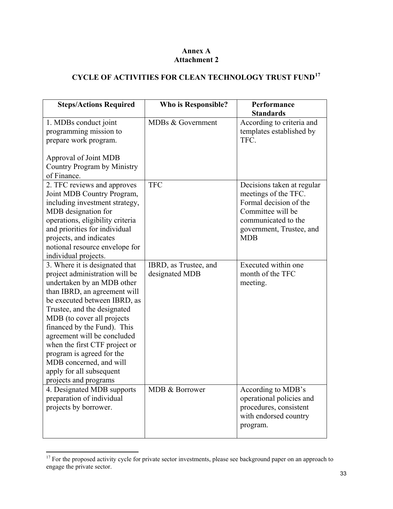## **Annex A Attachment 2**

# **CYCLE OF ACTIVITIES FOR CLEAN TECHNOLOGY TRUST FUND[17](#page-32-0)**

| <b>Steps/Actions Required</b>                                                                                                                                                                                                                                                                                                                                                                                                           | Who is Responsible?                     | Performance<br><b>Standards</b>                                                                                                                                    |
|-----------------------------------------------------------------------------------------------------------------------------------------------------------------------------------------------------------------------------------------------------------------------------------------------------------------------------------------------------------------------------------------------------------------------------------------|-----------------------------------------|--------------------------------------------------------------------------------------------------------------------------------------------------------------------|
| 1. MDBs conduct joint<br>programming mission to<br>prepare work program.<br>Approval of Joint MDB<br>Country Program by Ministry<br>of Finance.                                                                                                                                                                                                                                                                                         | MDBs & Government                       | According to criteria and<br>templates established by<br>TFC.                                                                                                      |
| 2. TFC reviews and approves<br>Joint MDB Country Program,<br>including investment strategy,<br>MDB designation for<br>operations, eligibility criteria<br>and priorities for individual<br>projects, and indicates<br>notional resource envelope for<br>individual projects.                                                                                                                                                            | <b>TFC</b>                              | Decisions taken at regular<br>meetings of the TFC.<br>Formal decision of the<br>Committee will be<br>communicated to the<br>government, Trustee, and<br><b>MDB</b> |
| 3. Where it is designated that<br>project administration will be<br>undertaken by an MDB other<br>than IBRD, an agreement will<br>be executed between IBRD, as<br>Trustee, and the designated<br>MDB (to cover all projects<br>financed by the Fund). This<br>agreement will be concluded<br>when the first CTF project or<br>program is agreed for the<br>MDB concerned, and will<br>apply for all subsequent<br>projects and programs | IBRD, as Trustee, and<br>designated MDB | Executed within one<br>month of the TFC<br>meeting.                                                                                                                |
| 4. Designated MDB supports<br>preparation of individual<br>projects by borrower.                                                                                                                                                                                                                                                                                                                                                        | MDB & Borrower                          | According to MDB's<br>operational policies and<br>procedures, consistent<br>with endorsed country<br>program.                                                      |

<span id="page-32-0"></span> $17$  For the proposed activity cycle for private sector investments, please see background paper on an approach to engage the private sector.

 $\overline{a}$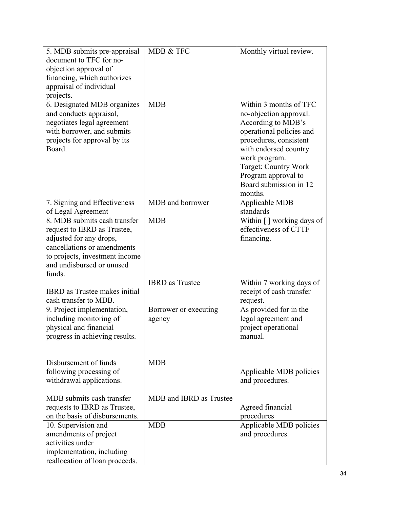| 5. MDB submits pre-appraisal<br>document to TFC for no-<br>objection approval of<br>financing, which authorizes<br>appraisal of individual<br>projects.                              | MDB & TFC                       | Monthly virtual review.                                                                                                                                                                                                                                    |
|--------------------------------------------------------------------------------------------------------------------------------------------------------------------------------------|---------------------------------|------------------------------------------------------------------------------------------------------------------------------------------------------------------------------------------------------------------------------------------------------------|
| 6. Designated MDB organizes<br>and conducts appraisal,<br>negotiates legal agreement<br>with borrower, and submits<br>projects for approval by its<br>Board.                         | <b>MDB</b>                      | Within 3 months of TFC<br>no-objection approval.<br>According to MDB's<br>operational policies and<br>procedures, consistent<br>with endorsed country<br>work program.<br>Target: Country Work<br>Program approval to<br>Board submission in 12<br>months. |
| 7. Signing and Effectiveness<br>of Legal Agreement                                                                                                                                   | MDB and borrower                | Applicable MDB<br>standards                                                                                                                                                                                                                                |
| 8. MDB submits cash transfer<br>request to IBRD as Trustee,<br>adjusted for any drops,<br>cancellations or amendments<br>to projects, investment income<br>and undisbursed or unused | <b>MDB</b>                      | Within [] working days of<br>effectiveness of CTTF<br>financing.                                                                                                                                                                                           |
| funds.<br><b>IBRD</b> as Trustee makes initial<br>cash transfer to MDB.                                                                                                              | <b>IBRD</b> as Trustee          | Within 7 working days of<br>receipt of cash transfer<br>request.                                                                                                                                                                                           |
| 9. Project implementation,<br>including monitoring of<br>physical and financial<br>progress in achieving results.                                                                    | Borrower or executing<br>agency | As provided for in the<br>legal agreement and<br>project operational<br>manual.                                                                                                                                                                            |
| Disbursement of funds<br>following processing of<br>withdrawal applications.                                                                                                         | <b>MDB</b>                      | Applicable MDB policies<br>and procedures.                                                                                                                                                                                                                 |
| MDB submits cash transfer<br>requests to IBRD as Trustee,<br>on the basis of disbursements.                                                                                          | MDB and IBRD as Trustee         | Agreed financial<br>procedures                                                                                                                                                                                                                             |
| 10. Supervision and<br>amendments of project<br>activities under<br>implementation, including<br>reallocation of loan proceeds.                                                      | <b>MDB</b>                      | Applicable MDB policies<br>and procedures.                                                                                                                                                                                                                 |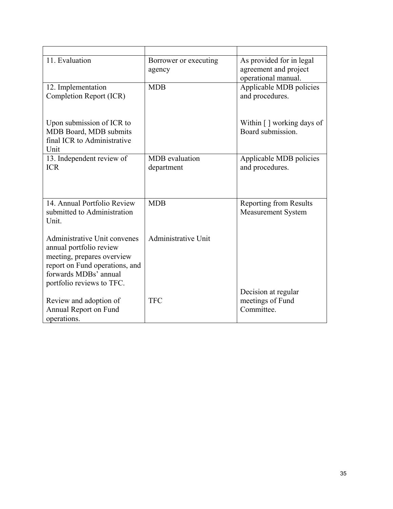| 11. Evaluation                                                                                                                                                                | Borrower or executing<br>agency     | As provided for in legal<br>agreement and project<br>operational manual. |
|-------------------------------------------------------------------------------------------------------------------------------------------------------------------------------|-------------------------------------|--------------------------------------------------------------------------|
| 12. Implementation<br>Completion Report (ICR)                                                                                                                                 | <b>MDB</b>                          | Applicable MDB policies<br>and procedures.                               |
| Upon submission of ICR to<br>MDB Board, MDB submits<br>final ICR to Administrative<br>Unit                                                                                    |                                     | Within $\lceil \cdot \rceil$ working days of<br>Board submission.        |
| 13. Independent review of<br><b>ICR</b>                                                                                                                                       | <b>MDB</b> evaluation<br>department | Applicable MDB policies<br>and procedures.                               |
| 14. Annual Portfolio Review<br>submitted to Administration<br>Unit.                                                                                                           | <b>MDB</b>                          | <b>Reporting from Results</b><br><b>Measurement System</b>               |
| Administrative Unit convenes<br>annual portfolio review<br>meeting, prepares overview<br>report on Fund operations, and<br>forwards MDBs' annual<br>portfolio reviews to TFC. | Administrative Unit                 |                                                                          |
| Review and adoption of<br>Annual Report on Fund<br>operations.                                                                                                                | <b>TFC</b>                          | Decision at regular<br>meetings of Fund<br>Committee.                    |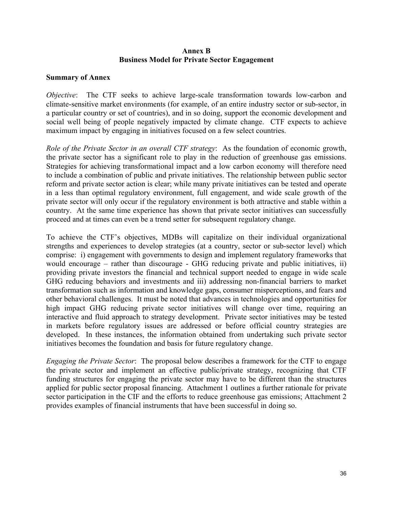#### **Annex B Business Model for Private Sector Engagement**

#### **Summary of Annex**

*Objective*: The CTF seeks to achieve large-scale transformation towards low-carbon and climate-sensitive market environments (for example, of an entire industry sector or sub-sector, in a particular country or set of countries), and in so doing, support the economic development and social well being of people negatively impacted by climate change. CTF expects to achieve maximum impact by engaging in initiatives focused on a few select countries.

*Role of the Private Sector in an overall CTF strategy*: As the foundation of economic growth, the private sector has a significant role to play in the reduction of greenhouse gas emissions. Strategies for achieving transformational impact and a low carbon economy will therefore need to include a combination of public and private initiatives. The relationship between public sector reform and private sector action is clear; while many private initiatives can be tested and operate in a less than optimal regulatory environment, full engagement, and wide scale growth of the private sector will only occur if the regulatory environment is both attractive and stable within a country. At the same time experience has shown that private sector initiatives can successfully proceed and at times can even be a trend setter for subsequent regulatory change.

To achieve the CTF's objectives, MDBs will capitalize on their individual organizational strengths and experiences to develop strategies (at a country, sector or sub-sector level) which comprise: i) engagement with governments to design and implement regulatory frameworks that would encourage – rather than discourage - GHG reducing private and public initiatives, ii) providing private investors the financial and technical support needed to engage in wide scale GHG reducing behaviors and investments and iii) addressing non-financial barriers to market transformation such as information and knowledge gaps, consumer misperceptions, and fears and other behavioral challenges. It must be noted that advances in technologies and opportunities for high impact GHG reducing private sector initiatives will change over time, requiring an interactive and fluid approach to strategy development. Private sector initiatives may be tested in markets before regulatory issues are addressed or before official country strategies are developed. In these instances, the information obtained from undertaking such private sector initiatives becomes the foundation and basis for future regulatory change.

*Engaging the Private Sector*: The proposal below describes a framework for the CTF to engage the private sector and implement an effective public/private strategy, recognizing that CTF funding structures for engaging the private sector may have to be different than the structures applied for public sector proposal financing. Attachment 1 outlines a further rationale for private sector participation in the CIF and the efforts to reduce greenhouse gas emissions; Attachment 2 provides examples of financial instruments that have been successful in doing so.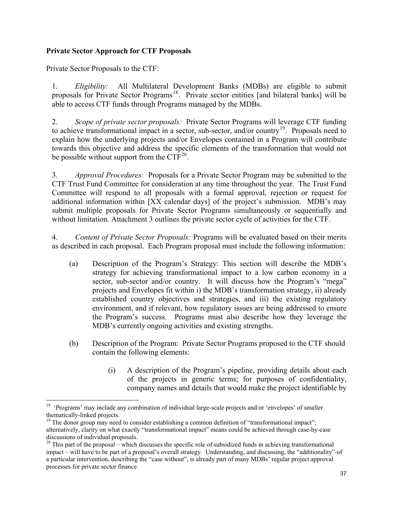# **Private Sector Approach for CTF Proposals**

Private Sector Proposals to the CTF:

 $\overline{a}$ 

1. *Eligibility:* All Multilateral Development Banks (MDBs) are eligible to submit proposals for Private Sector Programs<sup>[18](#page-36-0)</sup>. Private sector entities [and bilateral banks] will be able to access CTF funds through Programs managed by the MDBs.

2. *Scope of private sector proposals:* Private Sector Programs will leverage CTF funding to achieve transformational impact in a sector, sub-sector, and/or country<sup>[19](#page-36-1)</sup>. Proposals need to explain how the underlying projects and/or Envelopes contained in a Program will contribute towards this objective and address the specific elements of the transformation that would not be possible without support from the  $CTF^{20}$  $CTF^{20}$  $CTF^{20}$ .

3. *Approval Procedures:* Proposals for a Private Sector Program may be submitted to the CTF Trust Fund Committee for consideration at any time throughout the year. The Trust Fund Committee will respond to all proposals with a formal approval, rejection or request for additional information within [XX calendar days] of the project's submission. MDB's may submit multiple proposals for Private Sector Programs simultaneously or sequentially and without limitation. Attachment 3 outlines the private sector cycle of activities for the CTF.

4. *Content of Private Sector Proposals:* Programs will be evaluated based on their merits as described in each proposal. Each Program proposal must include the following information:

- (a) Description of the Program's Strategy: This section will describe the MDB's strategy for achieving transformational impact to a low carbon economy in a sector, sub-sector and/or country. It will discuss how the Program's "mega" projects and Envelopes fit within i) the MDB's transformation strategy, ii) already established country objectives and strategies, and iii) the existing regulatory environment, and if relevant, how regulatory issues are being addressed to ensure the Program's success. Programs must also describe how they leverage the MDB's currently ongoing activities and existing strengths.
- (b) Description of the Program: Private Sector Programs proposed to the CTF should contain the following elements:
	- (i) A description of the Program's pipeline, providing details about each of the projects in generic terms; for purposes of confidentiality, company names and details that would make the project identifiable by

<span id="page-36-0"></span><sup>&</sup>lt;sup>18</sup> 'Programs' may include any combination of individual large-scale projects and/or 'envelopes' of smaller thematically-linked projects.

<span id="page-36-1"></span><sup>&</sup>lt;sup>19</sup> The donor group may need to consider establishing a common definition of "transformational impact"; alternatively, clarity on what exactly "transformational impact" means could be achieved through case-by-case discussions of individual proposals.

<span id="page-36-2"></span><sup>&</sup>lt;sup>20</sup> This part of the proposal – which discusses the specific role of subsidized funds in achieving transformational impact – will have to be part of a proposal's overall strategy. Understanding, and discussing, the "additionality"-of a particular intervention, describing the "case without", is already part of many MDBs' regular project approval processes for private sector finance.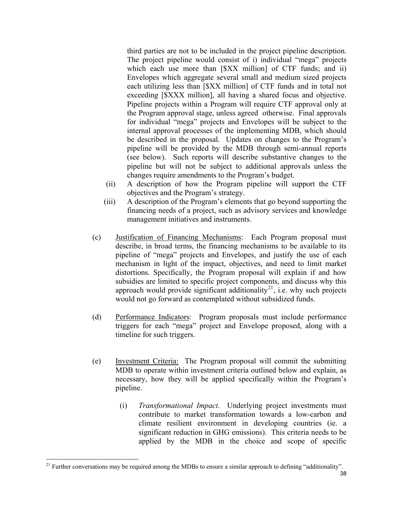third parties are not to be included in the project pipeline description. The project pipeline would consist of i) individual "mega" projects which each use more than [\$XX million] of CTF funds; and ii) Envelopes which aggregate several small and medium sized projects each utilizing less than [\$XX million] of CTF funds and in total not exceeding [\$XXX million], all having a shared focus and objective. Pipeline projects within a Program will require CTF approval only at the Program approval stage, unless agreed otherwise. Final approvals for individual "mega" projects and Envelopes will be subject to the internal approval processes of the implementing MDB, which should be described in the proposal. Updates on changes to the Program's pipeline will be provided by the MDB through semi-annual reports (see below). Such reports will describe substantive changes to the pipeline but will not be subject to additional approvals unless the changes require amendments to the Program's budget.

- (ii) A description of how the Program pipeline will support the CTF objectives and the Program's strategy.
- (iii) A description of the Program's elements that go beyond supporting the financing needs of a project, such as advisory services and knowledge management initiatives and instruments.
- (c) Justification of Financing Mechanisms: Each Program proposal must describe, in broad terms, the financing mechanisms to be available to its pipeline of "mega" projects and Envelopes, and justify the use of each mechanism in light of the impact, objectives, and need to limit market distortions. Specifically, the Program proposal will explain if and how subsidies are limited to specific project components, and discuss why this approach would provide significant additionality<sup>[21](#page-37-0)</sup>, i.e. why such projects would not go forward as contemplated without subsidized funds.
- (d) Performance Indicators: Program proposals must include performance triggers for each "mega" project and Envelope proposed, along with a timeline for such triggers.
- (e) Investment Criteria: The Program proposal will commit the submitting MDB to operate within investment criteria outlined below and explain, as necessary, how they will be applied specifically within the Program's pipeline.
	- (i) *Transformational Impact*. Underlying project investments must contribute to market transformation towards a low-carbon and climate resilient environment in developing countries (ie. a significant reduction in GHG emissions). This criteria needs to be applied by the MDB in the choice and scope of specific

 $\overline{a}$ 

<span id="page-37-0"></span><sup>&</sup>lt;sup>21</sup> Further conversations may be required among the MDBs to ensure a similar approach to defining "additionality".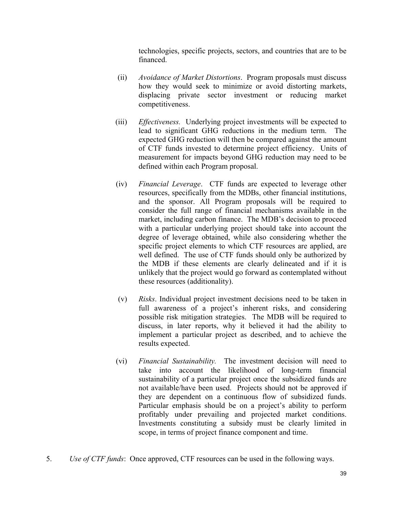technologies, specific projects, sectors, and countries that are to be financed.

- (ii) *Avoidance of Market Distortions*. Program proposals must discuss how they would seek to minimize or avoid distorting markets, displacing private sector investment or reducing market competitiveness.
- (iii) *Effectiveness.* Underlying project investments will be expected to lead to significant GHG reductions in the medium term. The expected GHG reduction will then be compared against the amount of CTF funds invested to determine project efficiency. Units of measurement for impacts beyond GHG reduction may need to be defined within each Program proposal.
- (iv) *Financial Leverage*. CTF funds are expected to leverage other resources, specifically from the MDBs, other financial institutions, and the sponsor. All Program proposals will be required to consider the full range of financial mechanisms available in the market, including carbon finance. The MDB's decision to proceed with a particular underlying project should take into account the degree of leverage obtained, while also considering whether the specific project elements to which CTF resources are applied, are well defined. The use of CTF funds should only be authorized by the MDB if these elements are clearly delineated and if it is unlikely that the project would go forward as contemplated without these resources (additionality).
- (v) *Risks*. Individual project investment decisions need to be taken in full awareness of a project's inherent risks, and considering possible risk mitigation strategies. The MDB will be required to discuss, in later reports, why it believed it had the ability to implement a particular project as described, and to achieve the results expected.
- (vi) *Financial Sustainability.* The investment decision will need to take into account the likelihood of long-term financial sustainability of a particular project once the subsidized funds are not available/have been used. Projects should not be approved if they are dependent on a continuous flow of subsidized funds. Particular emphasis should be on a project's ability to perform profitably under prevailing and projected market conditions. Investments constituting a subsidy must be clearly limited in scope, in terms of project finance component and time.
- 5. *Use of CTF funds*: Once approved, CTF resources can be used in the following ways.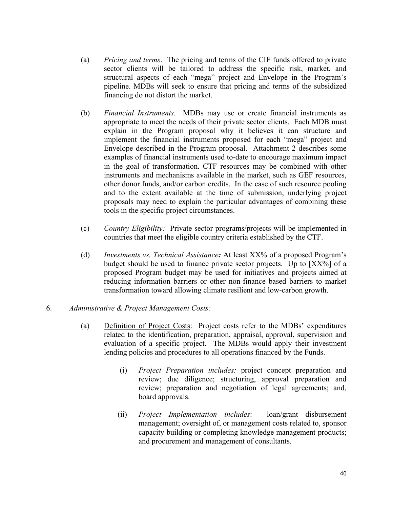- (a) *Pricing and terms*. The pricing and terms of the CIF funds offered to private sector clients will be tailored to address the specific risk, market, and structural aspects of each "mega" project and Envelope in the Program's pipeline. MDBs will seek to ensure that pricing and terms of the subsidized financing do not distort the market.
- (b) *Financial Instruments.* MDBs may use or create financial instruments as appropriate to meet the needs of their private sector clients. Each MDB must explain in the Program proposal why it believes it can structure and implement the financial instruments proposed for each "mega" project and Envelope described in the Program proposal. Attachment 2 describes some examples of financial instruments used to-date to encourage maximum impact in the goal of transformation. CTF resources may be combined with other instruments and mechanisms available in the market, such as GEF resources, other donor funds, and/or carbon credits. In the case of such resource pooling and to the extent available at the time of submission, underlying project proposals may need to explain the particular advantages of combining these tools in the specific project circumstances.
- (c) *Country Eligibility:* Private sector programs/projects will be implemented in countries that meet the eligible country criteria established by the CTF.
- (d) *Investments vs. Technical Assistance:* At least XX% of a proposed Program's budget should be used to finance private sector projects. Up to [XX%] of a proposed Program budget may be used for initiatives and projects aimed at reducing information barriers or other non-finance based barriers to market transformation toward allowing climate resilient and low-carbon growth.

# 6. *Administrative & Project Management Costs:*

- (a) Definition of Project Costs:Project costs refer to the MDBs' expenditures related to the identification, preparation, appraisal, approval, supervision and evaluation of a specific project. The MDBs would apply their investment lending policies and procedures to all operations financed by the Funds.
	- (i) *Project Preparation includes:* project concept preparation and review; due diligence; structuring, approval preparation and review; preparation and negotiation of legal agreements; and, board approvals.
	- (ii) *Project Implementation includes*: loan/grant disbursement management; oversight of, or management costs related to, sponsor capacity building or completing knowledge management products; and procurement and management of consultants.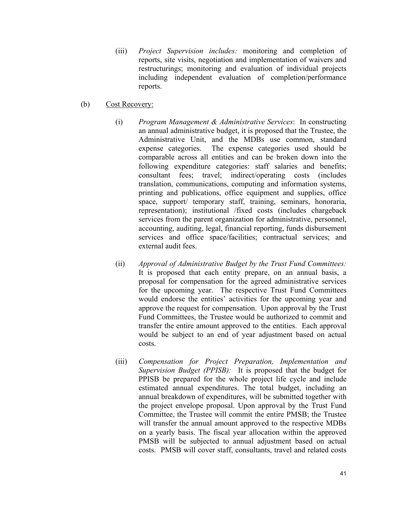- (iii) *Project Supervision includes:* monitoring and completion of reports, site visits, negotiation and implementation of waivers and restructurings; monitoring and evaluation of individual projects including independent evaluation of completion/performance reports.
- (b) Cost Recovery:
	- (i) *Program Management & Administrative Services*: In constructing an annual administrative budget, it is proposed that the Trustee, the Administrative Unit, and the MDBs use common, standard expense categories. The expense categories used should be comparable across all entities and can be broken down into the following expenditure categories: staff salaries and benefits; consultant fees; travel; indirect/operating costs (includes translation, communications, computing and information systems, printing and publications, office equipment and supplies, office space, support/ temporary staff, training, seminars, honoraria, representation); institutional /fixed costs (includes chargeback services from the parent organization for administrative, personnel, accounting, auditing, legal, financial reporting, funds disbursement services and office space/facilities; contractual services; and external audit fees.
	- (ii) *Approval of Administrative Budget by the Trust Fund Committees:*  It is proposed that each entity prepare, on an annual basis, a proposal for compensation for the agreed administrative services for the upcoming year. The respective Trust Fund Committees would endorse the entities' activities for the upcoming year and approve the request for compensation. Upon approval by the Trust Fund Committees, the Trustee would be authorized to commit and transfer the entire amount approved to the entities. Each approval would be subject to an end of year adjustment based on actual costs.
	- (iii) *Compensation for Project Preparation, Implementation and Supervision Budget (PPISB):* It is proposed that the budget for PPISB be prepared for the whole project life cycle and include estimated annual expenditures. The total budget, including an annual breakdown of expenditures, will be submitted together with the project envelope proposal. Upon approval by the Trust Fund Committee, the Trustee will commit the entire PMSB; the Trustee will transfer the annual amount approved to the respective MDBs on a yearly basis. The fiscal year allocation within the approved PMSB will be subjected to annual adjustment based on actual costs. PMSB will cover staff, consultants, travel and related costs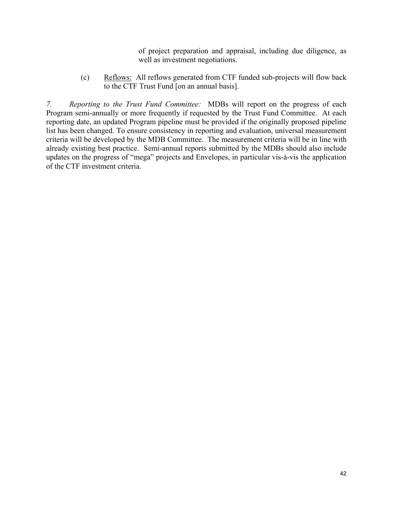of project preparation and appraisal, including due diligence, as well as investment negotiations.

(c) Reflows: All reflows generated from CTF funded sub-projects will flow back to the CTF Trust Fund [on an annual basis].

*7. Reporting to the Trust Fund Committee:* MDBs will report on the progress of each Program semi-annually or more frequently if requested by the Trust Fund Committee. At each reporting date, an updated Program pipeline must be provided if the originally proposed pipeline list has been changed. To ensure consistency in reporting and evaluation, universal measurement criteria will be developed by the MDB Committee. The measurement criteria will be in line with already existing best practice. Semi-annual reports submitted by the MDBs should also include updates on the progress of "mega" projects and Envelopes, in particular vis-à-vis the application of the CTF investment criteria.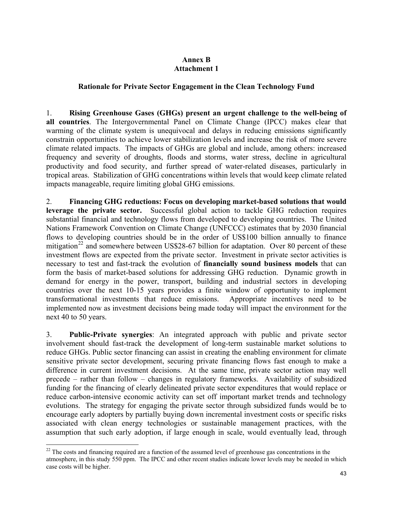# **Annex B Attachment 1**

## **Rationale for Private Sector Engagement in the Clean Technology Fund**

1. **Rising Greenhouse Gases (GHGs) present an urgent challenge to the well-being of all countries**. The Intergovernmental Panel on Climate Change (IPCC) makes clear that warming of the climate system is unequivocal and delays in reducing emissions significantly constrain opportunities to achieve lower stabilization levels and increase the risk of more severe climate related impacts. The impacts of GHGs are global and include, among others: increased frequency and severity of droughts, floods and storms, water stress, decline in agricultural productivity and food security, and further spread of water-related diseases, particularly in tropical areas. Stabilization of GHG concentrations within levels that would keep climate related impacts manageable, require limiting global GHG emissions.

2. **Financing GHG reductions: Focus on developing market-based solutions that would leverage the private sector.** Successful global action to tackle GHG reduction requires substantial financial and technology flows from developed to developing countries. The United Nations Framework Convention on Climate Change (UNFCCC) estimates that by 2030 financial flows to developing countries should be in the order of US\$100 billion annually to finance mitigation<sup>[22](#page-42-0)</sup> and somewhere between US\$28-67 billion for adaptation. Over 80 percent of these investment flows are expected from the private sector. Investment in private sector activities is necessary to test and fast-track the evolution of **financially sound business models** that can form the basis of market-based solutions for addressing GHG reduction. Dynamic growth in demand for energy in the power, transport, building and industrial sectors in developing countries over the next 10-15 years provides a finite window of opportunity to implement transformational investments that reduce emissions. Appropriate incentives need to be implemented now as investment decisions being made today will impact the environment for the next 40 to 50 years.

3. **Public-Private synergies**: An integrated approach with public and private sector involvement should fast-track the development of long-term sustainable market solutions to reduce GHGs. Public sector financing can assist in creating the enabling environment for climate sensitive private sector development, securing private financing flows fast enough to make a difference in current investment decisions. At the same time, private sector action may well precede – rather than follow – changes in regulatory frameworks. Availability of subsidized funding for the financing of clearly delineated private sector expenditures that would replace or reduce carbon-intensive economic activity can set off important market trends and technology evolutions. The strategy for engaging the private sector through subsidized funds would be to encourage early adopters by partially buying down incremental investment costs or specific risks associated with clean energy technologies or sustainable management practices, with the assumption that such early adoption, if large enough in scale, would eventually lead, through

<span id="page-42-0"></span> $\overline{a}$  $22$  The costs and financing required are a function of the assumed level of greenhouse gas concentrations in the atmosphere, in this study 550 ppm. The IPCC and other recent studies indicate lower levels may be needed in which case costs will be higher.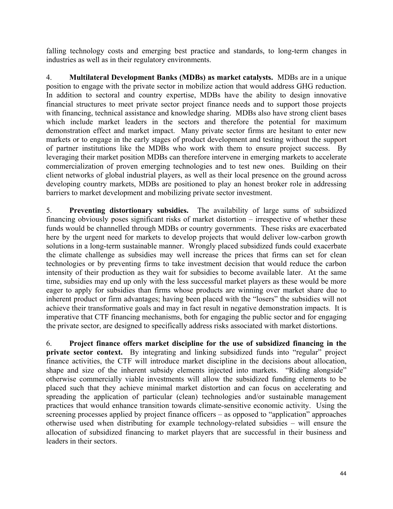falling technology costs and emerging best practice and standards, to long-term changes in industries as well as in their regulatory environments.

4. **Multilateral Development Banks (MDBs) as market catalysts.** MDBs are in a unique position to engage with the private sector in mobilize action that would address GHG reduction. In addition to sectoral and country expertise, MDBs have the ability to design innovative financial structures to meet private sector project finance needs and to support those projects with financing, technical assistance and knowledge sharing. MDBs also have strong client bases which include market leaders in the sectors and therefore the potential for maximum demonstration effect and market impact. Many private sector firms are hesitant to enter new markets or to engage in the early stages of product development and testing without the support of partner institutions like the MDBs who work with them to ensure project success. By leveraging their market position MDBs can therefore intervene in emerging markets to accelerate commercialization of proven emerging technologies and to test new ones. Building on their client networks of global industrial players, as well as their local presence on the ground across developing country markets, MDBs are positioned to play an honest broker role in addressing barriers to market development and mobilizing private sector investment.

5. **Preventing distortionary subsidies.** The availability of large sums of subsidized financing obviously poses significant risks of market distortion – irrespective of whether these funds would be channelled through MDBs or country governments. These risks are exacerbated here by the urgent need for markets to develop projects that would deliver low-carbon growth solutions in a long-term sustainable manner. Wrongly placed subsidized funds could exacerbate the climate challenge as subsidies may well increase the prices that firms can set for clean technologies or by preventing firms to take investment decision that would reduce the carbon intensity of their production as they wait for subsidies to become available later. At the same time, subsidies may end up only with the less successful market players as these would be more eager to apply for subsidies than firms whose products are winning over market share due to inherent product or firm advantages; having been placed with the "losers" the subsidies will not achieve their transformative goals and may in fact result in negative demonstration impacts. It is imperative that CTF financing mechanisms, both for engaging the public sector and for engaging the private sector, are designed to specifically address risks associated with market distortions.

6. **Project finance offers market discipline for the use of subsidized financing in the private sector context.** By integrating and linking subsidized funds into "regular" project finance activities, the CTF will introduce market discipline in the decisions about allocation, shape and size of the inherent subsidy elements injected into markets. "Riding alongside" otherwise commercially viable investments will allow the subsidized funding elements to be placed such that they achieve minimal market distortion and can focus on accelerating and spreading the application of particular (clean) technologies and/or sustainable management practices that would enhance transition towards climate-sensitive economic activity. Using the screening processes applied by project finance officers – as opposed to "application" approaches otherwise used when distributing for example technology-related subsidies – will ensure the allocation of subsidized financing to market players that are successful in their business and leaders in their sectors.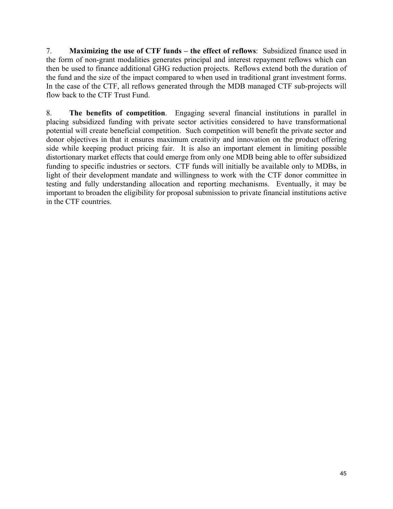7. **Maximizing the use of CTF funds – the effect of reflows**: Subsidized finance used in the form of non-grant modalities generates principal and interest repayment reflows which can then be used to finance additional GHG reduction projects. Reflows extend both the duration of the fund and the size of the impact compared to when used in traditional grant investment forms. In the case of the CTF, all reflows generated through the MDB managed CTF sub-projects will flow back to the CTF Trust Fund.

8. **The benefits of competition**. Engaging several financial institutions in parallel in placing subsidized funding with private sector activities considered to have transformational potential will create beneficial competition. Such competition will benefit the private sector and donor objectives in that it ensures maximum creativity and innovation on the product offering side while keeping product pricing fair. It is also an important element in limiting possible distortionary market effects that could emerge from only one MDB being able to offer subsidized funding to specific industries or sectors. CTF funds will initially be available only to MDBs, in light of their development mandate and willingness to work with the CTF donor committee in testing and fully understanding allocation and reporting mechanisms. Eventually, it may be important to broaden the eligibility for proposal submission to private financial institutions active in the CTF countries.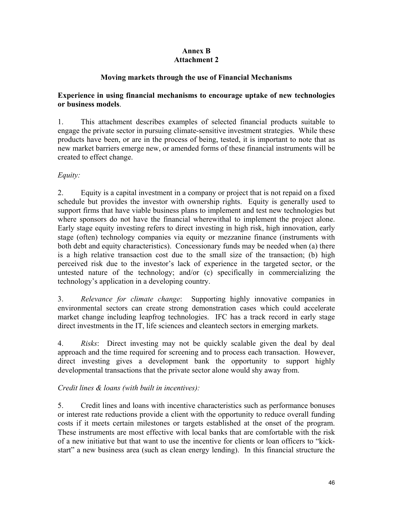# **Annex B Attachment 2**

# **Moving markets through the use of Financial Mechanisms**

# **Experience in using financial mechanisms to encourage uptake of new technologies or business models**.

1. This attachment describes examples of selected financial products suitable to engage the private sector in pursuing climate-sensitive investment strategies. While these products have been, or are in the process of being, tested, it is important to note that as new market barriers emerge new, or amended forms of these financial instruments will be created to effect change.

# *Equity:*

2. Equity is a capital investment in a company or project that is not repaid on a fixed schedule but provides the investor with ownership rights. Equity is generally used to support firms that have viable business plans to implement and test new technologies but where sponsors do not have the financial wherewithal to implement the project alone. Early stage equity investing refers to direct investing in high risk, high innovation, early stage (often) technology companies via equity or mezzanine finance (instruments with both debt and equity characteristics). Concessionary funds may be needed when (a) there is a high relative transaction cost due to the small size of the transaction; (b) high perceived risk due to the investor's lack of experience in the targeted sector, or the untested nature of the technology; and/or (c) specifically in commercializing the technology's application in a developing country.

3. *Relevance for climate change*: Supporting highly innovative companies in environmental sectors can create strong demonstration cases which could accelerate market change including leapfrog technologies. IFC has a track record in early stage direct investments in the IT, life sciences and cleantech sectors in emerging markets.

4. *Risks*: Direct investing may not be quickly scalable given the deal by deal approach and the time required for screening and to process each transaction. However, direct investing gives a development bank the opportunity to support highly developmental transactions that the private sector alone would shy away from.

# *Credit lines & loans (with built in incentives):*

5. Credit lines and loans with incentive characteristics such as performance bonuses or interest rate reductions provide a client with the opportunity to reduce overall funding costs if it meets certain milestones or targets established at the onset of the program. These instruments are most effective with local banks that are comfortable with the risk of a new initiative but that want to use the incentive for clients or loan officers to "kickstart" a new business area (such as clean energy lending). In this financial structure the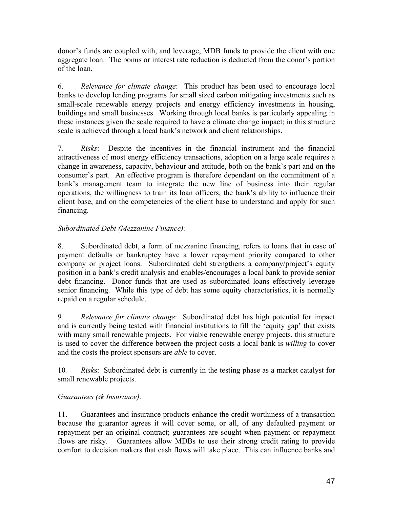donor's funds are coupled with, and leverage, MDB funds to provide the client with one aggregate loan. The bonus or interest rate reduction is deducted from the donor's portion of the loan.

6. *Relevance for climate change*: This product has been used to encourage local banks to develop lending programs for small sized carbon mitigating investments such as small-scale renewable energy projects and energy efficiency investments in housing, buildings and small businesses. Working through local banks is particularly appealing in these instances given the scale required to have a climate change impact; in this structure scale is achieved through a local bank's network and client relationships.

7*. Risks*: Despite the incentives in the financial instrument and the financial attractiveness of most energy efficiency transactions, adoption on a large scale requires a change in awareness, capacity, behaviour and attitude, both on the bank's part and on the consumer's part. An effective program is therefore dependant on the commitment of a bank's management team to integrate the new line of business into their regular operations, the willingness to train its loan officers, the bank's ability to influence their client base, and on the competencies of the client base to understand and apply for such financing.

# *Subordinated Debt (Mezzanine Finance):*

8. Subordinated debt, a form of mezzanine financing, refers to loans that in case of payment defaults or bankruptcy have a lower repayment priority compared to other company or project loans. Subordinated debt strengthens a company/project's equity position in a bank's credit analysis and enables/encourages a local bank to provide senior debt financing. Donor funds that are used as subordinated loans effectively leverage senior financing. While this type of debt has some equity characteristics, it is normally repaid on a regular schedule.

9*. Relevance for climate change*: Subordinated debt has high potential for impact and is currently being tested with financial institutions to fill the 'equity gap' that exists with many small renewable projects. For viable renewable energy projects, this structure is used to cover the difference between the project costs a local bank is *willing* to cover and the costs the project sponsors are *able* to cover.

10*. Risk*s: Subordinated debt is currently in the testing phase as a market catalyst for small renewable projects.

# *Guarantees (& Insurance):*

11. Guarantees and insurance products enhance the credit worthiness of a transaction because the guarantor agrees it will cover some, or all, of any defaulted payment or repayment per an original contract; guarantees are sought when payment or repayment flows are risky. Guarantees allow MDBs to use their strong credit rating to provide comfort to decision makers that cash flows will take place. This can influence banks and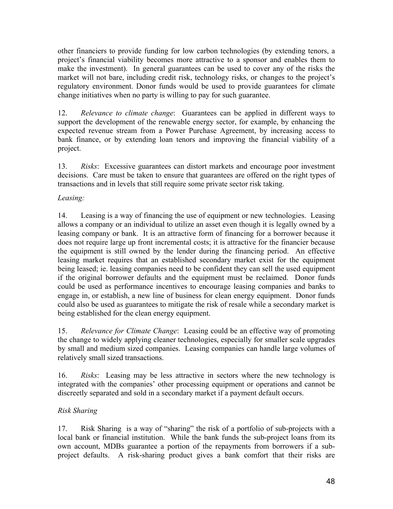other financiers to provide funding for low carbon technologies (by extending tenors, a project's financial viability becomes more attractive to a sponsor and enables them to make the investment). In general guarantees can be used to cover any of the risks the market will not bare, including credit risk, technology risks, or changes to the project's regulatory environment. Donor funds would be used to provide guarantees for climate change initiatives when no party is willing to pay for such guarantee.

12. *Relevance to climate change*: Guarantees can be applied in different ways to support the development of the renewable energy sector, for example, by enhancing the expected revenue stream from a Power Purchase Agreement, by increasing access to bank finance, or by extending loan tenors and improving the financial viability of a project.

13. *Risks*: Excessive guarantees can distort markets and encourage poor investment decisions. Care must be taken to ensure that guarantees are offered on the right types of transactions and in levels that still require some private sector risk taking.

# *Leasing:*

14. Leasing is a way of financing the use of equipment or new technologies. Leasing allows a company or an individual to utilize an asset even though it is legally owned by a leasing company or bank. It is an attractive form of financing for a borrower because it does not require large up front incremental costs; it is attractive for the financier because the equipment is still owned by the lender during the financing period. An effective leasing market requires that an established secondary market exist for the equipment being leased; ie. leasing companies need to be confident they can sell the used equipment if the original borrower defaults and the equipment must be reclaimed. Donor funds could be used as performance incentives to encourage leasing companies and banks to engage in, or establish, a new line of business for clean energy equipment. Donor funds could also be used as guarantees to mitigate the risk of resale while a secondary market is being established for the clean energy equipment.

15. *Relevance for Climate Change*: Leasing could be an effective way of promoting the change to widely applying cleaner technologies, especially for smaller scale upgrades by small and medium sized companies. Leasing companies can handle large volumes of relatively small sized transactions.

16. *Risks*: Leasing may be less attractive in sectors where the new technology is integrated with the companies' other processing equipment or operations and cannot be discreetly separated and sold in a secondary market if a payment default occurs.

# *Risk Sharing*

17. Risk Sharing is a way of "sharing" the risk of a portfolio of sub-projects with a local bank or financial institution. While the bank funds the sub-project loans from its own account, MDBs guarantee a portion of the repayments from borrowers if a subproject defaults. A risk-sharing product gives a bank comfort that their risks are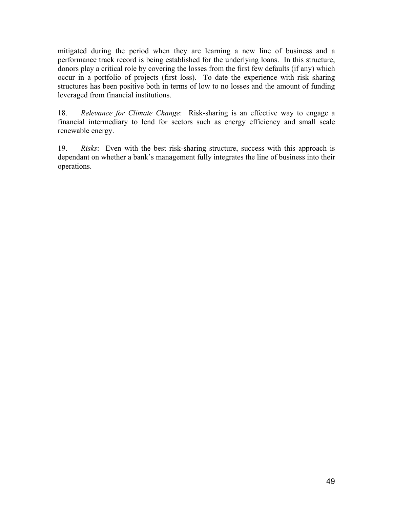mitigated during the period when they are learning a new line of business and a performance track record is being established for the underlying loans. In this structure, donors play a critical role by covering the losses from the first few defaults (if any) which occur in a portfolio of projects (first loss). To date the experience with risk sharing structures has been positive both in terms of low to no losses and the amount of funding leveraged from financial institutions.

18. *Relevance for Climate Change*: Risk-sharing is an effective way to engage a financial intermediary to lend for sectors such as energy efficiency and small scale renewable energy.

19. *Risks*: Even with the best risk-sharing structure, success with this approach is dependant on whether a bank's management fully integrates the line of business into their operations.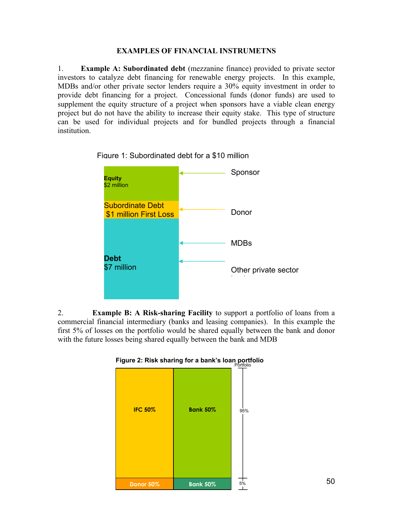#### **EXAMPLES OF FINANCIAL INSTRUMETNS**

1. **Example A: Subordinated debt** (mezzanine finance) provided to private sector investors to catalyze debt financing for renewable energy projects. In this example, MDBs and/or other private sector lenders require a 30% equity investment in order to provide debt financing for a project. Concessional funds (donor funds) are used to supplement the equity structure of a project when sponsors have a viable clean energy project but do not have the ability to increase their equity stake. This type of structure can be used for individual projects and for bundled projects through a financial institution.



Figure 1: Subordinated debt for a \$10 million

2. **Example B: A Risk-sharing Facility** to support a portfolio of loans from a commercial financial intermediary (banks and leasing companies). In this example the first 5% of losses on the portfolio would be shared equally between the bank and donor with the future losses being shared equally between the bank and MDB



**Figure 2: Risk sharing for a bank's loan portfolio** Portfolio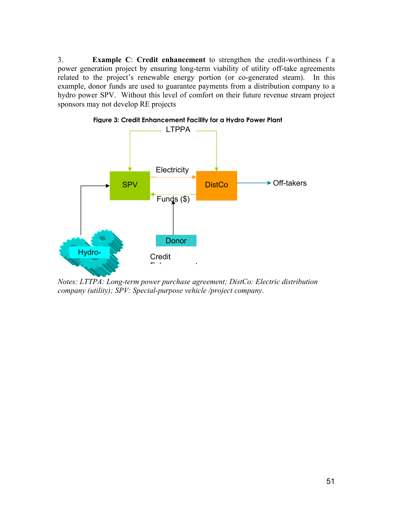3. **Example C**: **Credit enhancement** to strengthen the credit-worthiness f a power generation project by ensuring long-term viability of utility off-take agreements related to the project's renewable energy portion (or co-generated steam). In this example, donor funds are used to guarantee payments from a distribution company to a hydro power SPV. Without this level of comfort on their future revenue stream project sponsors may not develop RE projects



**Figure 3: Credit Enhancement Facility for a Hydro Power Plant**

*Notes: LTTPA: Long-term power purchase agreement; DistCo: Electric distribution company (utility); SPV: Special-purpose vehicle /project company*.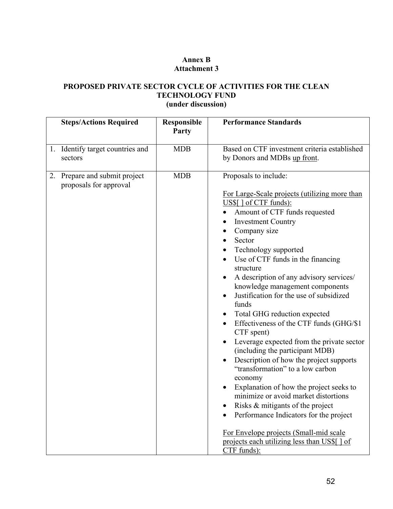# **Annex B Attachment 3**

# **PROPOSED PRIVATE SECTOR CYCLE OF ACTIVITIES FOR THE CLEAN TECHNOLOGY FUND (under discussion)**

|    | <b>Steps/Actions Required</b>                        | Responsible | <b>Performance Standards</b>                                                                          |
|----|------------------------------------------------------|-------------|-------------------------------------------------------------------------------------------------------|
|    |                                                      | Party       |                                                                                                       |
|    | 1. Identify target countries and                     | <b>MDB</b>  | Based on CTF investment criteria established                                                          |
|    | sectors                                              |             | by Donors and MDBs up front.                                                                          |
| 2. | Prepare and submit project<br>proposals for approval | <b>MDB</b>  | Proposals to include:                                                                                 |
|    |                                                      |             | For Large-Scale projects (utilizing more than                                                         |
|    |                                                      |             | US\$[] of CTF funds):<br>Amount of CTF funds requested                                                |
|    |                                                      |             | <b>Investment Country</b>                                                                             |
|    |                                                      |             | Company size<br>$\bullet$                                                                             |
|    |                                                      |             | Sector<br>$\bullet$                                                                                   |
|    |                                                      |             | Technology supported<br>$\bullet$                                                                     |
|    |                                                      |             | Use of CTF funds in the financing<br>structure                                                        |
|    |                                                      |             | A description of any advisory services/                                                               |
|    |                                                      |             | knowledge management components                                                                       |
|    |                                                      |             | Justification for the use of subsidized<br>$\bullet$<br>funds                                         |
|    |                                                      |             | Total GHG reduction expected                                                                          |
|    |                                                      |             | Effectiveness of the CTF funds (GHG/\$1)<br>$\bullet$<br>CTF spent)                                   |
|    |                                                      |             | Leverage expected from the private sector<br>$\bullet$<br>(including the participant MDB)             |
|    |                                                      |             | Description of how the project supports<br>$\bullet$<br>"transformation" to a low carbon              |
|    |                                                      |             | economy                                                                                               |
|    |                                                      |             | Explanation of how the project seeks to<br>minimize or avoid market distortions                       |
|    |                                                      |             | Risks & mitigants of the project                                                                      |
|    |                                                      |             | Performance Indicators for the project                                                                |
|    |                                                      |             | For Envelope projects (Small-mid scale<br>projects each utilizing less than US\$[ ] of<br>CTF funds): |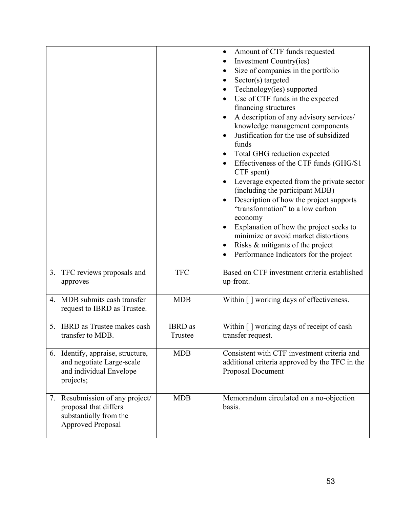|                  |                                                                                                                |                           | Amount of CTF funds requested<br>Investment Country(ies)<br>Size of companies in the portfolio<br>$\bullet$<br>Sector(s) targeted<br>$\bullet$<br>Technology(ies) supported<br>Use of CTF funds in the expected<br>financing structures<br>A description of any advisory services/<br>knowledge management components<br>Justification for the use of subsidized<br>funds<br>Total GHG reduction expected<br>Effectiveness of the CTF funds (GHG/\$1)<br>CTF spent)<br>Leverage expected from the private sector<br>(including the participant MDB)<br>Description of how the project supports<br>"transformation" to a low carbon<br>economy<br>Explanation of how the project seeks to<br>minimize or avoid market distortions<br>Risks & mitigants of the project<br>Performance Indicators for the project |
|------------------|----------------------------------------------------------------------------------------------------------------|---------------------------|----------------------------------------------------------------------------------------------------------------------------------------------------------------------------------------------------------------------------------------------------------------------------------------------------------------------------------------------------------------------------------------------------------------------------------------------------------------------------------------------------------------------------------------------------------------------------------------------------------------------------------------------------------------------------------------------------------------------------------------------------------------------------------------------------------------|
| 3.               | TFC reviews proposals and<br>approves                                                                          | <b>TFC</b>                | Based on CTF investment criteria established<br>up-front.                                                                                                                                                                                                                                                                                                                                                                                                                                                                                                                                                                                                                                                                                                                                                      |
| $\overline{4}$ . | MDB submits cash transfer<br>request to IBRD as Trustee.                                                       | <b>MDB</b>                | Within [] working days of effectiveness.                                                                                                                                                                                                                                                                                                                                                                                                                                                                                                                                                                                                                                                                                                                                                                       |
|                  | 5. IBRD as Trustee makes cash<br>transfer to MDB.                                                              | <b>IBRD</b> as<br>Trustee | Within [] working days of receipt of cash<br>transfer request.                                                                                                                                                                                                                                                                                                                                                                                                                                                                                                                                                                                                                                                                                                                                                 |
|                  | 6. Identify, appraise, structure,<br>and negotiate Large-scale<br>and individual Envelope<br>projects;         | <b>MDB</b>                | Consistent with CTF investment criteria and<br>additional criteria approved by the TFC in the<br>Proposal Document                                                                                                                                                                                                                                                                                                                                                                                                                                                                                                                                                                                                                                                                                             |
|                  | 7. Resubmission of any project/<br>proposal that differs<br>substantially from the<br><b>Approved Proposal</b> | <b>MDB</b>                | Memorandum circulated on a no-objection<br>basis.                                                                                                                                                                                                                                                                                                                                                                                                                                                                                                                                                                                                                                                                                                                                                              |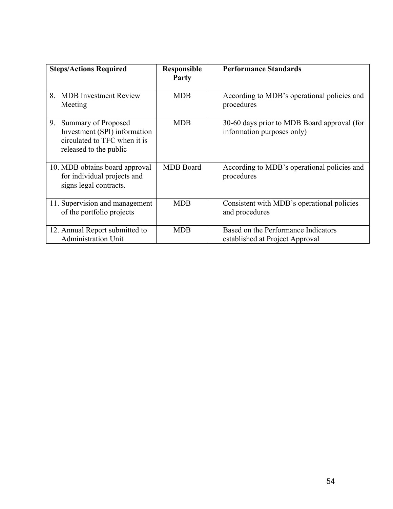| <b>Steps/Actions Required</b>                                                                                       | <b>Responsible</b><br>Party | <b>Performance Standards</b>                                              |
|---------------------------------------------------------------------------------------------------------------------|-----------------------------|---------------------------------------------------------------------------|
| <b>MDB</b> Investment Review<br>8.<br>Meeting                                                                       | <b>MDB</b>                  | According to MDB's operational policies and<br>procedures                 |
| 9.<br>Summary of Proposed<br>Investment (SPI) information<br>circulated to TFC when it is<br>released to the public | <b>MDB</b>                  | 30-60 days prior to MDB Board approval (for<br>information purposes only) |
| 10. MDB obtains board approval<br>for individual projects and<br>signs legal contracts.                             | <b>MDB</b> Board            | According to MDB's operational policies and<br>procedures                 |
| 11. Supervision and management<br>of the portfolio projects                                                         | <b>MDB</b>                  | Consistent with MDB's operational policies<br>and procedures              |
| 12. Annual Report submitted to<br><b>Administration Unit</b>                                                        | <b>MDB</b>                  | Based on the Performance Indicators<br>established at Project Approval    |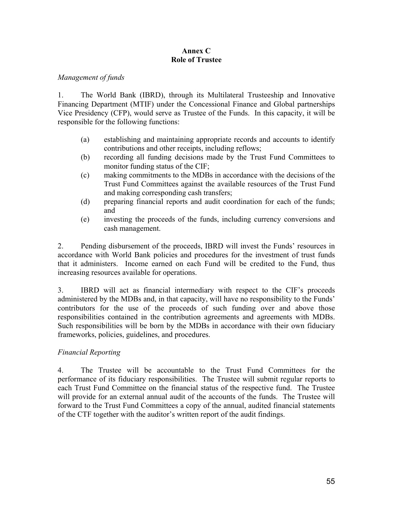## **Annex C Role of Trustee**

#### *Management of funds*

1. The World Bank (IBRD), through its Multilateral Trusteeship and Innovative Financing Department (MTIF) under the Concessional Finance and Global partnerships Vice Presidency (CFP), would serve as Trustee of the Funds. In this capacity, it will be responsible for the following functions:

- (a) establishing and maintaining appropriate records and accounts to identify contributions and other receipts, including reflows;
- (b) recording all funding decisions made by the Trust Fund Committees to monitor funding status of the CIF;
- (c) making commitments to the MDBs in accordance with the decisions of the Trust Fund Committees against the available resources of the Trust Fund and making corresponding cash transfers;
- (d) preparing financial reports and audit coordination for each of the funds; and
- (e) investing the proceeds of the funds, including currency conversions and cash management.

2. Pending disbursement of the proceeds, IBRD will invest the Funds' resources in accordance with World Bank policies and procedures for the investment of trust funds that it administers. Income earned on each Fund will be credited to the Fund, thus increasing resources available for operations.

3. IBRD will act as financial intermediary with respect to the CIF's proceeds administered by the MDBs and, in that capacity, will have no responsibility to the Funds' contributors for the use of the proceeds of such funding over and above those responsibilities contained in the contribution agreements and agreements with MDBs. Such responsibilities will be born by the MDBs in accordance with their own fiduciary frameworks, policies, guidelines, and procedures.

# *Financial Reporting*

4. The Trustee will be accountable to the Trust Fund Committees for the performance of its fiduciary responsibilities. The Trustee will submit regular reports to each Trust Fund Committee on the financial status of the respective fund. The Trustee will provide for an external annual audit of the accounts of the funds. The Trustee will forward to the Trust Fund Committees a copy of the annual, audited financial statements of the CTF together with the auditor's written report of the audit findings.